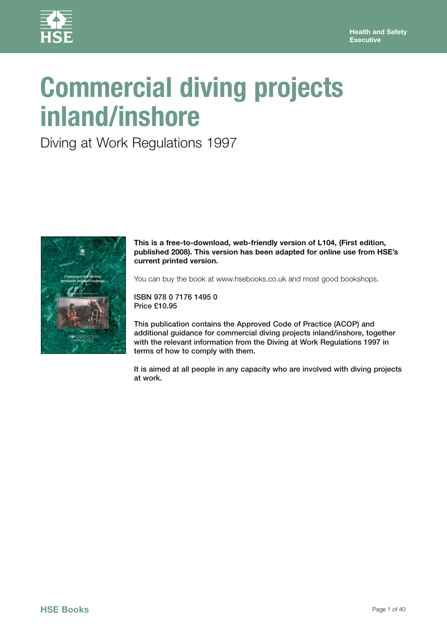

# **Commercial diving projects inland/inshore**

Diving at Work Regulations 1997



**This is a free-to-download, web-friendly version of L104, (First edition, published 2008). This version has been adapted for online use from HSE's current printed version.** 

You can buy the book at www.hsebooks.co.uk and most good bookshops.

ISBN 978 0 7176 1495 0 Price £10.95

This publication contains the Approved Code of Practice (ACOP) and additional guidance for commercial diving projects inland/inshore, together with the relevant information from the Diving at Work Regulations 1997 in terms of how to comply with them.

It is aimed at all people in any capacity who are involved with diving projects at work.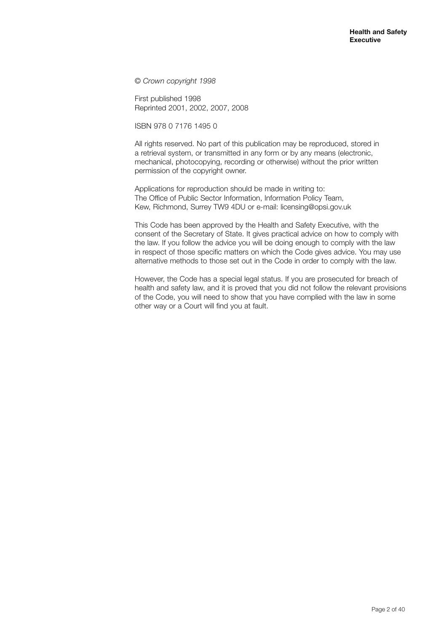© *Crown copyright 1998*

First published 1998 Reprinted 2001, 2002, 2007, 2008

ISBN 978 0 7176 1495 0

All rights reserved. No part of this publication may be reproduced, stored in a retrieval system, or transmitted in any form or by any means (electronic, mechanical, photocopying, recording or otherwise) without the prior written permission of the copyright owner.

Applications for reproduction should be made in writing to: The Office of Public Sector Information, Information Policy Team, Kew, Richmond, Surrey TW9 4DU or e-mail: licensing@opsi.gov.uk

This Code has been approved by the Health and Safety Executive, with the consent of the Secretary of State. It gives practical advice on how to comply with the law. If you follow the advice you will be doing enough to comply with the law in respect of those specific matters on which the Code gives advice. You may use alternative methods to those set out in the Code in order to comply with the law.

However, the Code has a special legal status. If you are prosecuted for breach of health and safety law, and it is proved that you did not follow the relevant provisions of the Code, you will need to show that you have complied with the law in some other way or a Court will find you at fault.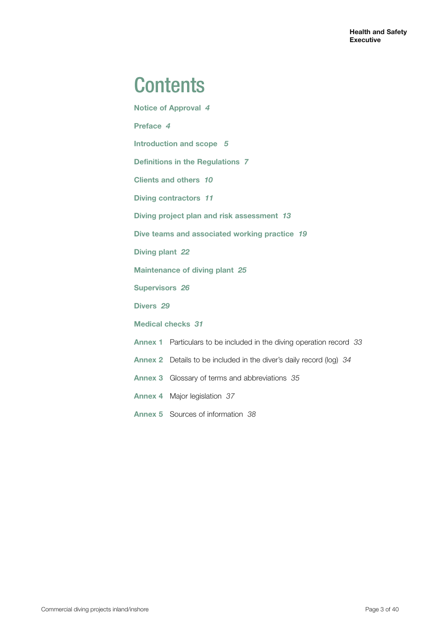## **Contents**

**Notice of Approval** *4* **Preface** *4* **Introduction and scope** *5* **Definitions in the Regulations** *7* **Clients and others** *10* **Diving contractors** *11* **Diving project plan and risk assessment** *13* **Dive teams and associated working practice** *19* **Diving plant** *22* **Maintenance of diving plant** *25* **Supervisors** *26* **Divers** *29* **Medical checks** *31* **Annex 1** Particulars to be included in the diving operation record *33* **Annex 2** Details to be included in the diver's daily record (log) *34* **Annex 3** Glossary of terms and abbreviations *35* **Annex 4** Major legislation *37* **Annex 5** Sources of information *38*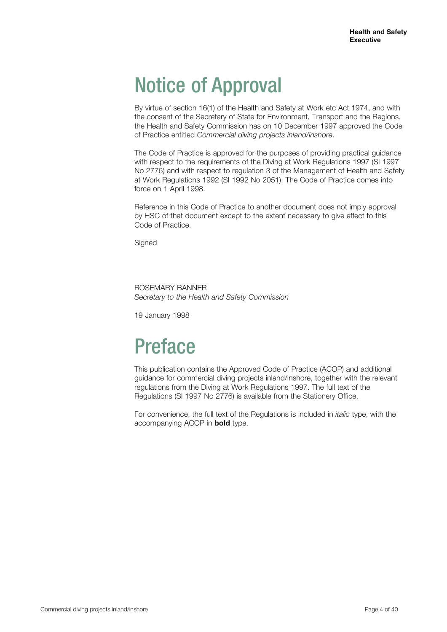## Notice of Approval

By virtue of section 16(1) of the Health and Safety at Work etc Act 1974, and with the consent of the Secretary of State for Environment, Transport and the Regions, the Health and Safety Commission has on 10 December 1997 approved the Code of Practice entitled *Commercial diving projects inland/inshore*.

The Code of Practice is approved for the purposes of providing practical guidance with respect to the requirements of the Diving at Work Regulations 1997 (SI 1997 No 2776) and with respect to regulation 3 of the Management of Health and Safety at Work Regulations 1992 (SI 1992 No 2051). The Code of Practice comes into force on 1 April 1998.

Reference in this Code of Practice to another document does not imply approval by HSC of that document except to the extent necessary to give effect to this Code of Practice.

Signed

## ROSEMARY BANNER

*Secretary to the Health and Safety Commission*

19 January 1998

## Preface

This publication contains the Approved Code of Practice (ACOP) and additional guidance for commercial diving projects inland/inshore, together with the relevant regulations from the Diving at Work Regulations 1997. The full text of the Regulations (SI 1997 No 2776) is available from the Stationery Office.

For convenience, the full text of the Regulations is included in *italic* type, with the accompanying ACOP in **bold** type.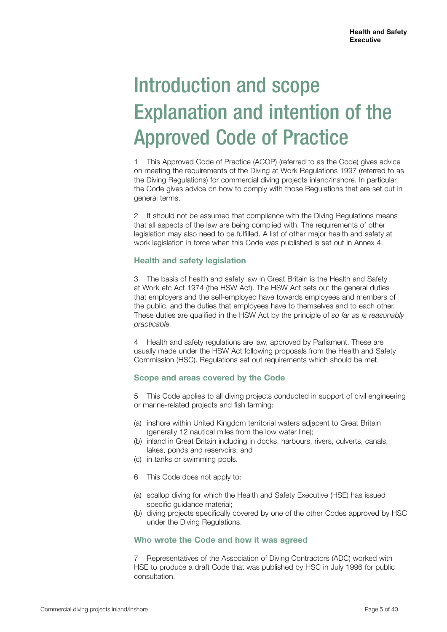# Introduction and scope Explanation and intention of the Approved Code of Practice

1 This Approved Code of Practice (ACOP) (referred to as the Code) gives advice on meeting the requirements of the Diving at Work Regulations 1997 (referred to as the Diving Regulations) for commercial diving projects inland/inshore. In particular, the Code gives advice on how to comply with those Regulations that are set out in general terms.

2 It should not be assumed that compliance with the Diving Regulations means that all aspects of the law are being complied with. The requirements of other legislation may also need to be fulfilled. A list of other major health and safety at work legislation in force when this Code was published is set out in Annex 4.

## **Health and safety legislation**

3 The basis of health and safety law in Great Britain is the Health and Safety at Work etc Act 1974 (the HSW Act). The HSW Act sets out the general duties that employers and the self-employed have towards employees and members of the public, and the duties that employees have to themselves and to each other. These duties are qualified in the HSW Act by the principle of *so far as is reasonably practicable.*

4 Health and safety regulations are law, approved by Parliament. These are usually made under the HSW Act following proposals from the Health and Safety Commission (HSC). Regulations set out requirements which should be met.

## **Scope and areas covered by the Code**

5 This Code applies to all diving projects conducted in support of civil engineering or marine-related projects and fish farming:

- (a) inshore within United Kingdom territorial waters adjacent to Great Britain (generally 12 nautical miles from the low water line);
- (b) inland in Great Britain including in docks, harbours, rivers, culverts, canals, lakes, ponds and reservoirs; and
- (c) in tanks or swimming pools.
- 6 This Code does not apply to:
- (a) scallop diving for which the Health and Safety Executive (HSE) has issued specific guidance material;
- (b) diving projects specifically covered by one of the other Codes approved by HSC under the Diving Regulations.

## **Who wrote the Code and how it was agreed**

7 Representatives of the Association of Diving Contractors (ADC) worked with HSE to produce a draft Code that was published by HSC in July 1996 for public consultation.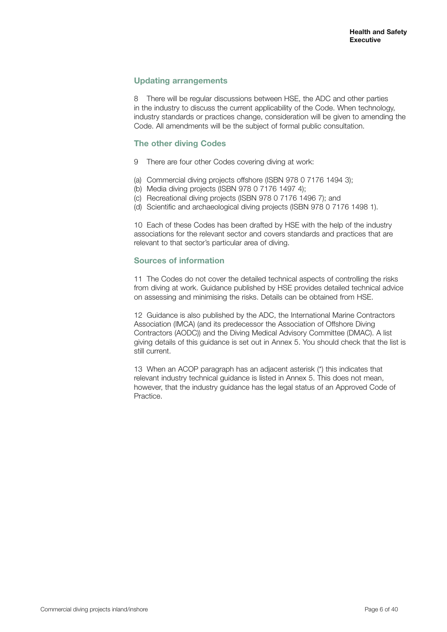## **Updating arrangements**

8 There will be regular discussions between HSE, the ADC and other parties in the industry to discuss the current applicability of the Code. When technology, industry standards or practices change, consideration will be given to amending the Code. All amendments will be the subject of formal public consultation.

## **The other diving Codes**

- 9 There are four other Codes covering diving at work:
- (a) Commercial diving projects offshore (ISBN 978 0 7176 1494 3);
- (b) Media diving projects (ISBN 978 0 7176 1497 4);
- (c) Recreational diving projects (ISBN 978 0 7176 1496 7); and
- (d) Scientific and archaeological diving projects (ISBN 978 0 7176 1498 1).

10 Each of these Codes has been drafted by HSE with the help of the industry associations for the relevant sector and covers standards and practices that are relevant to that sector's particular area of diving.

## **Sources of information**

11 The Codes do not cover the detailed technical aspects of controlling the risks from diving at work. Guidance published by HSE provides detailed technical advice on assessing and minimising the risks. Details can be obtained from HSE.

12 Guidance is also published by the ADC, the International Marine Contractors Association (IMCA) (and its predecessor the Association of Offshore Diving Contractors (AODC)) and the Diving Medical Advisory Committee (DMAC). A list giving details of this guidance is set out in Annex 5. You should check that the list is still current.

13 When an ACOP paragraph has an adjacent asterisk (\*) this indicates that relevant industry technical guidance is listed in Annex 5. This does not mean, however, that the industry guidance has the legal status of an Approved Code of Practice.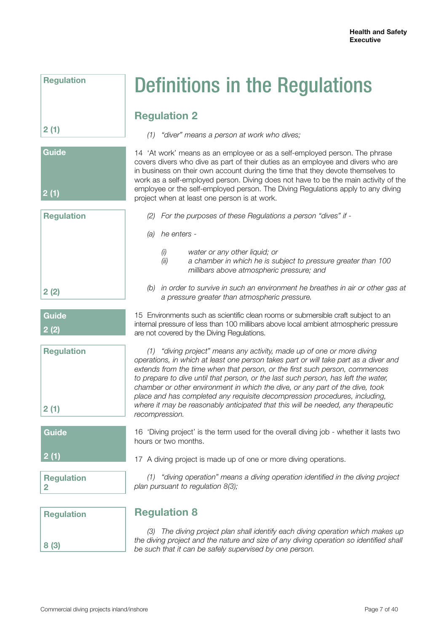**Regulation**

## **2 (1)**



**Regulation**

**2 (2)**

**Guide**

**2 (2)**

**Regulation**

## Definitions in the Regulations

## **Regulation 2**

*(1) "diver" means a person at work who dives;*

14 'At work' means as an employee or as a self-employed person. The phrase covers divers who dive as part of their duties as an employee and divers who are in business on their own account during the time that they devote themselves to work as a self-employed person. Diving does not have to be the main activity of the employee or the self-employed person. The Diving Regulations apply to any diving project when at least one person is at work.

- *(2) For the purposes of these Regulations a person "dives" if*
- *(a) he enters -*

**Regulation 8**

- *(i) water or any other liquid; or*
- *(ii) a chamber in which he is subject to pressure greater than 100 millibars above atmospheric pressure; and*
- *(b) in order to survive in such an environment he breathes in air or other gas at a pressure greater than atmospheric pressure.*

15 Environments such as scientific clean rooms or submersible craft subject to an internal pressure of less than 100 millibars above local ambient atmospheric pressure are not covered by the Diving Regulations.

*(1) "diving project" means any activity, made up of one or more diving operations, in which at least one person takes part or will take part as a diver and extends from the time when that person, or the first such person, commences to prepare to dive until that person, or the last such person, has left the water, chamber or other environment in which the dive, or any part of the dive, took place and has completed any requisite decompression procedures, including, where it may be reasonably anticipated that this will be needed, any therapeutic recompression.*

16 'Diving project' is the term used for the overall diving job - whether it lasts two hours or two months.

**2 (1)**

**2 (1)**

**Guide**

**Regulation 2**

*(1) "diving operation" means a diving operation identified in the diving project plan pursuant to regulation 8(3);*

17 A diving project is made up of one or more diving operations.

**8 (3)**

*(3) The diving project plan shall identify each diving operation which makes up the diving project and the nature and size of any diving operation so identified shall be such that it can be safely supervised by one person.*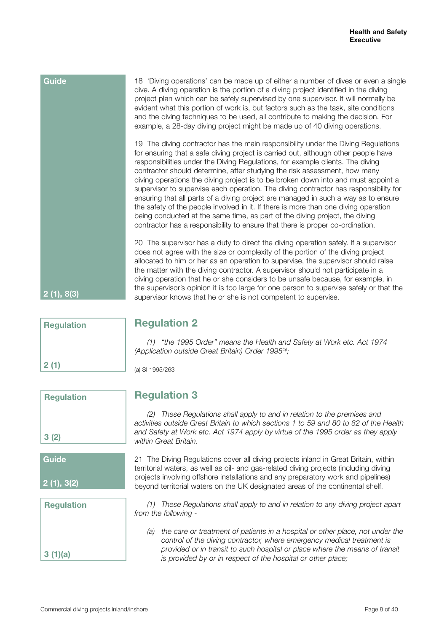| <b>Guide</b> | 18 'Diving operations' can be made up of either a number of dives or even a single<br>dive. A diving operation is the portion of a diving project identified in the diving<br>project plan which can be safely supervised by one supervisor. It will normally be<br>evident what this portion of work is, but factors such as the task, site conditions<br>and the diving techniques to be used, all contribute to making the decision. For<br>example, a 28-day diving project might be made up of 40 diving operations.                                                                                                                                                                                                                                                                                                                                        |
|--------------|------------------------------------------------------------------------------------------------------------------------------------------------------------------------------------------------------------------------------------------------------------------------------------------------------------------------------------------------------------------------------------------------------------------------------------------------------------------------------------------------------------------------------------------------------------------------------------------------------------------------------------------------------------------------------------------------------------------------------------------------------------------------------------------------------------------------------------------------------------------|
|              | 19 The diving contractor has the main responsibility under the Diving Regulations<br>for ensuring that a safe diving project is carried out, although other people have<br>responsibilities under the Diving Regulations, for example clients. The diving<br>contractor should determine, after studying the risk assessment, how many<br>diving operations the diving project is to be broken down into and must appoint a<br>supervisor to supervise each operation. The diving contractor has responsibility for<br>ensuring that all parts of a diving project are managed in such a way as to ensure<br>the safety of the people involved in it. If there is more than one diving operation<br>being conducted at the same time, as part of the diving project, the diving<br>contractor has a responsibility to ensure that there is proper co-ordination. |
| 2(1), 8(3)   | 20 The supervisor has a duty to direct the diving operation safely. If a supervisor<br>does not agree with the size or complexity of the portion of the diving project<br>allocated to him or her as an operation to supervise, the supervisor should raise<br>the matter with the diving contractor. A supervisor should not participate in a<br>diving operation that he or she considers to be unsafe because, for example, in<br>the supervisor's opinion it is too large for one person to supervise safely or that the<br>supervisor knows that he or she is not competent to supervise.                                                                                                                                                                                                                                                                   |

## **Regulation 2**

*(1) "the 1995 Order" means the Health and Safety at Work etc. Act 1974 (Application outside Great Britain) Order 1995(a);*

(a) SI 1995/263

**Regulation 3**

*(2) These Regulations shall apply to and in relation to the premises and activities outside Great Britain to which sections 1 to 59 and 80 to 82 of the Health and Safety at Work etc. Act 1974 apply by virtue of the 1995 order as they apply within Great Britain.*

21 The Diving Regulations cover all diving projects inland in Great Britain, within territorial waters, as well as oil- and gas-related diving projects (including diving projects involving offshore installations and any preparatory work and pipelines) beyond territorial waters on the UK designated areas of the continental shelf.

**Regulation 3 (1)(a)**

*(1) These Regulations shall apply to and in relation to any diving project apart from the following -*

*(a) the care or treatment of patients in a hospital or other place, not under the control of the diving contractor, where emergency medical treatment is provided or in transit to such hospital or place where the means of transit is provided by or in respect of the hospital or other place;*

**3 (2)**

**Regulation**

**Regulation**

**2 (1)**

**2 (1), 3(2)**

**Guide**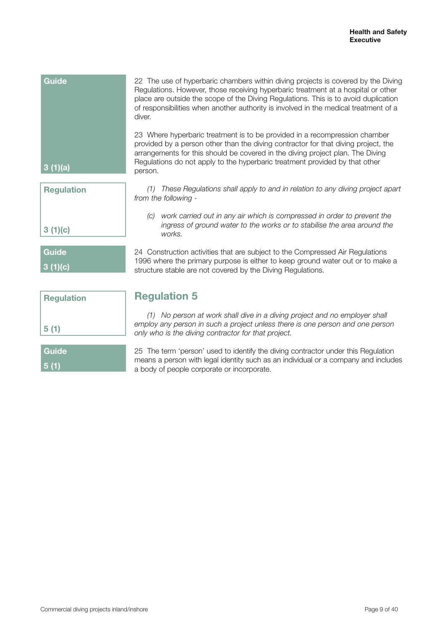| <b>Guide</b>      | 22 The use of hyperbaric chambers within diving projects is covered by the Diving<br>Regulations. However, those receiving hyperbaric treatment at a hospital or other<br>place are outside the scope of the Diving Regulations. This is to avoid duplication<br>of responsibilities when another authority is involved in the medical treatment of a<br>diver. |
|-------------------|-----------------------------------------------------------------------------------------------------------------------------------------------------------------------------------------------------------------------------------------------------------------------------------------------------------------------------------------------------------------|
| 3(1)(a)           | 23 Where hyperbaric treatment is to be provided in a recompression chamber<br>provided by a person other than the diving contractor for that diving project, the<br>arrangements for this should be covered in the diving project plan. The Diving<br>Regulations do not apply to the hyperbaric treatment provided by that other<br>person.                    |
| <b>Regulation</b> | These Regulations shall apply to and in relation to any diving project apart<br>(1)<br>from the following -                                                                                                                                                                                                                                                     |

*(c) work carried out in any air which is compressed in order to prevent the ingress of ground water to the works or to stabilise the area around the works.*

24 Construction activities that are subject to the Compressed Air Regulations 1996 where the primary purpose is either to keep ground water out or to make a structure stable are not covered by the Diving Regulations.

| <b>Regulation</b> |  |
|-------------------|--|
| 5(1)              |  |
| Guide             |  |

**3 (1)(c)**

**Guide**

**3 (1)(c)**

**5 (1)**

## **Regulation 5**

*(1) No person at work shall dive in a diving project and no employer shall*  employ any person in such a project unless there is one person and one person *only who is the diving contractor for that project.*

25 The term 'person' used to identify the diving contractor under this Regulation means a person with legal identity such as an individual or a company and includes a body of people corporate or incorporate.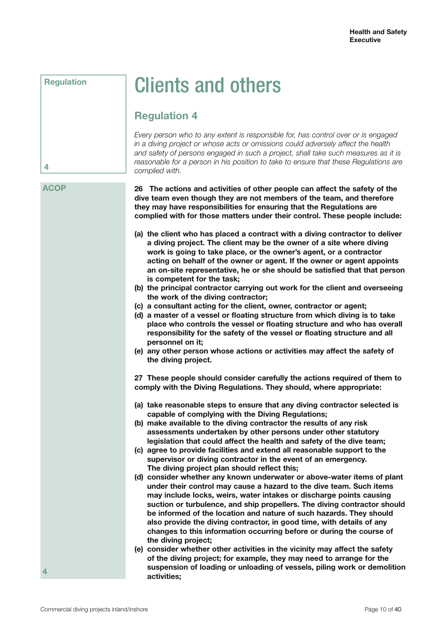## **Regulation**

## Clients and others

## **Regulation 4**

*Every person who to any extent is responsible for, has control over or is engaged in a diving project or whose acts or omissions could adversely affect the health and safety of persons engaged in such a project, shall take such measures as it is reasonable for a person in his position to take to ensure that these Regulations are complied with.*

## **ACOP**

**4**

**26 The actions and activities of other people can affect the safety of the dive team even though they are not members of the team, and therefore they may have responsibilities for ensuring that the Regulations are complied with for those matters under their control. These people include:**

- **(a) the client who has placed a contract with a diving contractor to deliver a diving project. The client may be the owner of a site where diving work is going to take place, or the owner's agent, or a contractor acting on behalf of the owner or agent. If the owner or agent appoints an on-site representative, he or she should be satisfied that that person is competent for the task;**
- **(b) the principal contractor carrying out work for the client and overseeing the work of the diving contractor;**
- **(c) a consultant acting for the client, owner, contractor or agent;**
- **(d) a master of a vessel or floating structure from which diving is to take place who controls the vessel or floating structure and who has overall responsibility for the safety of the vessel or floating structure and all personnel on it;**
- **(e) any other person whose actions or activities may affect the safety of the diving project.**

**27 These people should consider carefully the actions required of them to comply with the Diving Regulations. They should, where appropriate:**

- **(a) take reasonable steps to ensure that any diving contractor selected is capable of complying with the Diving Regulations;**
- **(b) make available to the diving contractor the results of any risk assessments undertaken by other persons under other statutory legislation that could affect the health and safety of the dive team;**
- **(c) agree to provide facilities and extend all reasonable support to the supervisor or diving contractor in the event of an emergency. The diving project plan should reflect this;**
- **(d) consider whether any known underwater or above-water items of plant under their control may cause a hazard to the dive team. Such items may include locks, weirs, water intakes or discharge points causing suction or turbulence, and ship propellers. The diving contractor should be informed of the location and nature of such hazards. They should also provide the diving contractor, in good time, with details of any changes to this information occurring before or during the course of the diving project;**
- **(e) consider whether other activities in the vicinity may affect the safety of the diving project; for example, they may need to arrange for the suspension of loading or unloading of vessels, piling work or demolition activities;**

**4**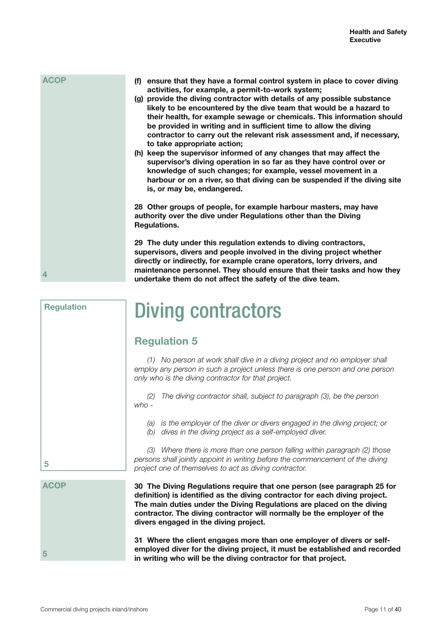| activities, for example, a permit-to-work system;                           |
|-----------------------------------------------------------------------------|
| provide the diving contractor with details of any possible substance<br>(g) |
| likely to be encountered by the dive team that would be a hazard to         |
| their health, for example sewage or chemicals. This information should      |
| be provided in writing and in sufficient time to allow the diving           |
| contractor to carry out the relevant risk assessment and, if necessary,     |
| to take appropriate action;                                                 |
| (h) keep the supervisor informed of any changes that may affect the         |
| supervisor's diving operation in so far as they have control over or        |
| knowledge of such changes; for example, vessel movement in a                |
| harbour or on a river, so that diving can be suspended if the diving site   |
| is, or may be, endangered.                                                  |
|                                                                             |
|                                                                             |

**28 Other groups of people, for example harbour masters, may have authority over the dive under Regulations other than the Diving Regulations.**

**(f) ensure that they have a formal control system in place to cover diving**

**29 The duty under this regulation extends to diving contractors, supervisors, divers and people involved in the diving project whether directly or indirectly, for example crane operators, lorry drivers, and maintenance personnel. They should ensure that their tasks and how they undertake them do not affect the safety of the dive team.**

## Diving contractors

## **Regulation 5**

*(1) No person at work shall dive in a diving project and no employer shall*  employ any person in such a project unless there is one person and one person *only who is the diving contractor for that project.*

*(2) The diving contractor shall, subject to paragraph (3), be the person who -*

*(a) is the employer of the diver or divers engaged in the diving project; or*

*(b) dives in the diving project as a self-employed diver.*

*(3) Where there is more than one person falling within paragraph (2) those persons shall jointly appoint in writing before the commencement of the diving project one of themselves to act as diving contractor.*

**30 The Diving Regulations require that one person (see paragraph 25 for definition) is identified as the diving contractor for each diving project. The main duties under the Diving Regulations are placed on the diving contractor. The diving contractor will normally be the employer of the divers engaged in the diving project.** 

**31 Where the client engages more than one employer of divers or selfemployed diver for the diving project, it must be established and recorded in writing who will be the diving contractor for that project.** 

**4**

**ACOP**

**Regulation**

| 5 |  |  |
|---|--|--|

**ACOP**

**5**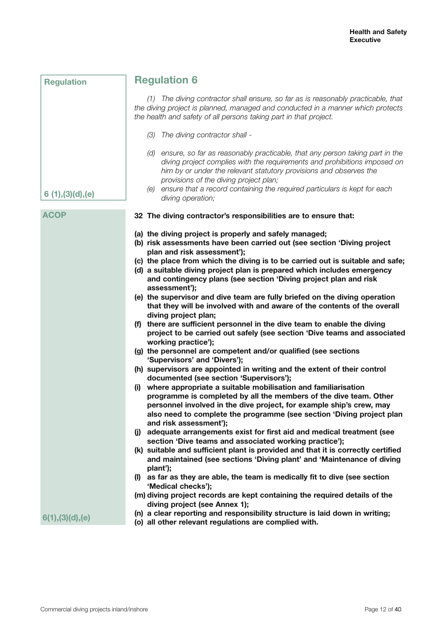| <b>Regulation</b> | <b>Regulation 6</b>                                                                                                                                                                                                                                                                                                                                                                                                                                                                                                                                                                                                                                                                                                                                                                                                                                                                                                                                                                                                                                                                                                                                                                                                                                                                                                                                                                                                                                                                                                                                                                                                                                                                                                                                                                                                                  |
|-------------------|--------------------------------------------------------------------------------------------------------------------------------------------------------------------------------------------------------------------------------------------------------------------------------------------------------------------------------------------------------------------------------------------------------------------------------------------------------------------------------------------------------------------------------------------------------------------------------------------------------------------------------------------------------------------------------------------------------------------------------------------------------------------------------------------------------------------------------------------------------------------------------------------------------------------------------------------------------------------------------------------------------------------------------------------------------------------------------------------------------------------------------------------------------------------------------------------------------------------------------------------------------------------------------------------------------------------------------------------------------------------------------------------------------------------------------------------------------------------------------------------------------------------------------------------------------------------------------------------------------------------------------------------------------------------------------------------------------------------------------------------------------------------------------------------------------------------------------------|
|                   | (1) The diving contractor shall ensure, so far as is reasonably practicable, that<br>the diving project is planned, managed and conducted in a manner which protects<br>the health and safety of all persons taking part in that project.                                                                                                                                                                                                                                                                                                                                                                                                                                                                                                                                                                                                                                                                                                                                                                                                                                                                                                                                                                                                                                                                                                                                                                                                                                                                                                                                                                                                                                                                                                                                                                                            |
|                   | (3) The diving contractor shall -                                                                                                                                                                                                                                                                                                                                                                                                                                                                                                                                                                                                                                                                                                                                                                                                                                                                                                                                                                                                                                                                                                                                                                                                                                                                                                                                                                                                                                                                                                                                                                                                                                                                                                                                                                                                    |
| 6(1), (3)(d), (e) | (d) ensure, so far as reasonably practicable, that any person taking part in the<br>diving project complies with the requirements and prohibitions imposed on<br>him by or under the relevant statutory provisions and observes the<br>provisions of the diving project plan;<br>(e) ensure that a record containing the required particulars is kept for each<br>diving operation;                                                                                                                                                                                                                                                                                                                                                                                                                                                                                                                                                                                                                                                                                                                                                                                                                                                                                                                                                                                                                                                                                                                                                                                                                                                                                                                                                                                                                                                  |
| <b>ACOP</b>       | 32 The diving contractor's responsibilities are to ensure that:                                                                                                                                                                                                                                                                                                                                                                                                                                                                                                                                                                                                                                                                                                                                                                                                                                                                                                                                                                                                                                                                                                                                                                                                                                                                                                                                                                                                                                                                                                                                                                                                                                                                                                                                                                      |
|                   | (a) the diving project is properly and safely managed;<br>(b) risk assessments have been carried out (see section 'Diving project<br>plan and risk assessment');<br>(c) the place from which the diving is to be carried out is suitable and safe;<br>(d) a suitable diving project plan is prepared which includes emergency<br>and contingency plans (see section 'Diving project plan and risk<br>assessment');<br>(e) the supervisor and dive team are fully briefed on the diving operation<br>that they will be involved with and aware of the contents of the overall<br>diving project plan;<br>(f) there are sufficient personnel in the dive team to enable the diving<br>project to be carried out safely (see section 'Dive teams and associated<br>working practice');<br>(g) the personnel are competent and/or qualified (see sections<br>'Supervisors' and 'Divers');<br>(h) supervisors are appointed in writing and the extent of their control<br>documented (see section 'Supervisors');<br>(i) where appropriate a suitable mobilisation and familiarisation<br>programme is completed by all the members of the dive team. Other<br>personnel involved in the dive project, for example ship's crew, may<br>also need to complete the programme (see section 'Diving project plan<br>and risk assessment');<br>(j) adequate arrangements exist for first aid and medical treatment (see<br>section 'Dive teams and associated working practice');<br>(k) suitable and sufficient plant is provided and that it is correctly certified<br>and maintained (see sections 'Diving plant' and 'Maintenance of diving<br>plant');<br>(I) as far as they are able, the team is medically fit to dive (see section<br>'Medical checks');<br>(m) diving project records are kept containing the required details of the |
| 6(1), (3)(d), (e) | diving project (see Annex 1);<br>(n) a clear reporting and responsibility structure is laid down in writing;                                                                                                                                                                                                                                                                                                                                                                                                                                                                                                                                                                                                                                                                                                                                                                                                                                                                                                                                                                                                                                                                                                                                                                                                                                                                                                                                                                                                                                                                                                                                                                                                                                                                                                                         |
|                   | (o) all other relevant regulations are complied with.                                                                                                                                                                                                                                                                                                                                                                                                                                                                                                                                                                                                                                                                                                                                                                                                                                                                                                                                                                                                                                                                                                                                                                                                                                                                                                                                                                                                                                                                                                                                                                                                                                                                                                                                                                                |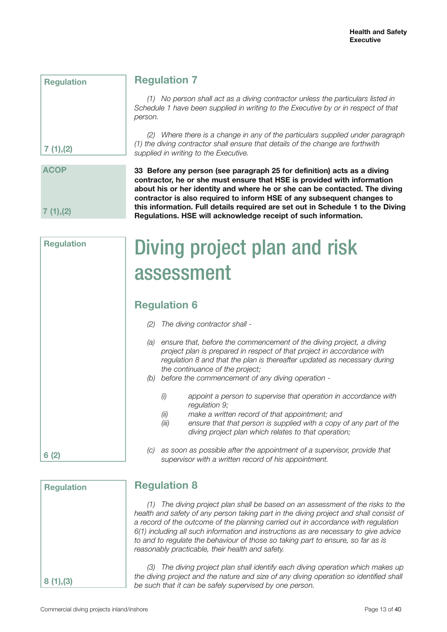| neguiation |  |
|------------|--|
|            |  |
|            |  |
|            |  |
|            |  |
|            |  |
|            |  |
|            |  |
|            |  |
| 7(1), (2)  |  |
|            |  |

**Regulation**

## **Regulation 7**

*(1) No person shall act as a diving contractor unless the particulars listed in Schedule 1 have been supplied in writing to the Executive by or in respect of that person.*

*(2) Where there is a change in any of the particulars supplied under paragraph (1) the diving contractor shall ensure that details of the change are forthwith supplied in writing to the Executive.*

# **ACOP 7 (1),(2)**

**33 Before any person (see paragraph 25 for definition) acts as a diving contractor, he or she must ensure that HSE is provided with information about his or her identity and where he or she can be contacted. The diving contractor is also required to inform HSE of any subsequent changes to this information. Full details required are set out in Schedule 1 to the Diving Regulations. HSE will acknowledge receipt of such information.**

Diving project plan and risk assessment

## **Regulation 6**

- *(2) The diving contractor shall -*
- *(a) ensure that, before the commencement of the diving project, a diving project plan is prepared in respect of that project in accordance with regulation 8 and that the plan is thereafter updated as necessary during the continuance of the project;*
- *(b) before the commencement of any diving operation -*
	- *(i) appoint a person to supervise that operation in accordance with regulation 9;*
	- *(ii) make a written record of that appointment; and*
	- *(iii) ensure that that person is supplied with a copy of any part of the diving project plan which relates to that operation;*
- *(c) as soon as possible after the appointment of a supervisor, provide that supervisor with a written record of his appointment.*

| <b>Regulation</b> |  |
|-------------------|--|
|                   |  |
|                   |  |
|                   |  |
|                   |  |
|                   |  |
|                   |  |
| 8(1), (3)         |  |

## **Regulation 8**

*(1) The diving project plan shall be based on an assessment of the risks to the*  health and safety of any person taking part in the diving project and shall consist of *a record of the outcome of the planning carried out in accordance with regulation 6(1) including all such information and instructions as are necessary to give advice to and to regulate the behaviour of those so taking part to ensure, so far as is reasonably practicable, their health and safety.*

*(3) The diving project plan shall identify each diving operation which makes up the diving project and the nature and size of any diving operation so identified shall be such that it can be safely supervised by one person.*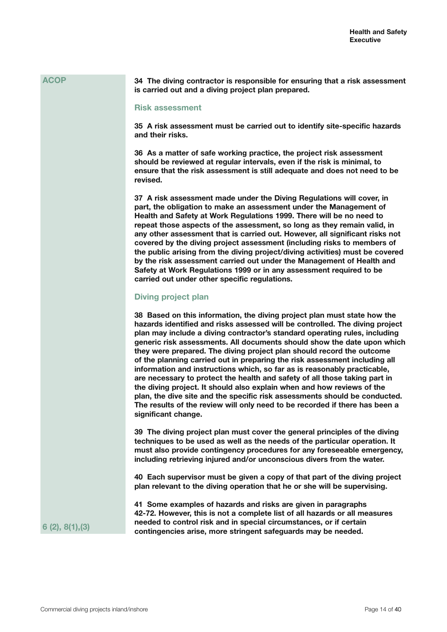**34 The diving contractor is responsible for ensuring that a risk assessment is carried out and a diving project plan prepared.**

### **Risk assessment**

**35 A risk assessment must be carried out to identify site-specific hazards and their risks.** 

**36 As a matter of safe working practice, the project risk assessment should be reviewed at regular intervals, even if the risk is minimal, to ensure that the risk assessment is still adequate and does not need to be revised.** 

**37 A risk assessment made under the Diving Regulations will cover, in part, the obligation to make an assessment under the Management of Health and Safety at Work Regulations 1999. There will be no need to repeat those aspects of the assessment, so long as they remain valid, in any other assessment that is carried out. However, all significant risks not covered by the diving project assessment (including risks to members of the public arising from the diving project/diving activities) must be covered by the risk assessment carried out under the Management of Health and Safety at Work Regulations 1999 or in any assessment required to be carried out under other specific regulations.**

## **Diving project plan**

**38 Based on this information, the diving project plan must state how the hazards identified and risks assessed will be controlled. The diving project plan may include a diving contractor's standard operating rules, including generic risk assessments. All documents should show the date upon which they were prepared. The diving project plan should record the outcome of the planning carried out in preparing the risk assessment including all information and instructions which, so far as is reasonably practicable, are necessary to protect the health and safety of all those taking part in the diving project. It should also explain when and how reviews of the plan, the dive site and the specific risk assessments should be conducted. The results of the review will only need to be recorded if there has been a significant change.**

**39 The diving project plan must cover the general principles of the diving techniques to be used as well as the needs of the particular operation. It must also provide contingency procedures for any foreseeable emergency, including retrieving injured and/or unconscious divers from the water.**

**40 Each supervisor must be given a copy of that part of the diving project plan relevant to the diving operation that he or she will be supervising.**

**41 Some examples of hazards and risks are given in paragraphs 42-72. However, this is not a complete list of all hazards or all measures needed to control risk and in special circumstances, or if certain contingencies arise, more stringent safeguards may be needed.**

**6 (2), 8(1),(3)**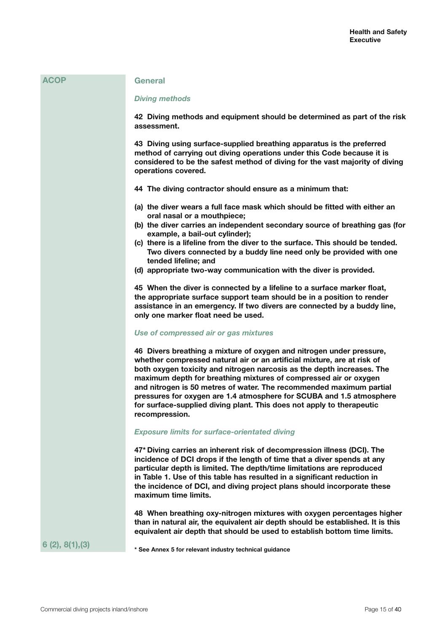| <b>ACOP</b>     | <b>General</b>                                                                                                                                                                                                                                                                                                                                                                                                                                                                                                                          |
|-----------------|-----------------------------------------------------------------------------------------------------------------------------------------------------------------------------------------------------------------------------------------------------------------------------------------------------------------------------------------------------------------------------------------------------------------------------------------------------------------------------------------------------------------------------------------|
|                 | <b>Diving methods</b>                                                                                                                                                                                                                                                                                                                                                                                                                                                                                                                   |
|                 | 42 Diving methods and equipment should be determined as part of the risk<br>assessment.                                                                                                                                                                                                                                                                                                                                                                                                                                                 |
|                 | 43 Diving using surface-supplied breathing apparatus is the preferred<br>method of carrying out diving operations under this Code because it is<br>considered to be the safest method of diving for the vast majority of diving<br>operations covered.                                                                                                                                                                                                                                                                                  |
|                 | 44 The diving contractor should ensure as a minimum that:                                                                                                                                                                                                                                                                                                                                                                                                                                                                               |
|                 | (a) the diver wears a full face mask which should be fitted with either an<br>oral nasal or a mouthpiece;<br>(b) the diver carries an independent secondary source of breathing gas (for<br>example, a bail-out cylinder);                                                                                                                                                                                                                                                                                                              |
|                 | (c) there is a lifeline from the diver to the surface. This should be tended.<br>Two divers connected by a buddy line need only be provided with one<br>tended lifeline; and                                                                                                                                                                                                                                                                                                                                                            |
|                 | (d) appropriate two-way communication with the diver is provided.                                                                                                                                                                                                                                                                                                                                                                                                                                                                       |
|                 | 45 When the diver is connected by a lifeline to a surface marker float,<br>the appropriate surface support team should be in a position to render<br>assistance in an emergency. If two divers are connected by a buddy line,<br>only one marker float need be used.                                                                                                                                                                                                                                                                    |
|                 | Use of compressed air or gas mixtures                                                                                                                                                                                                                                                                                                                                                                                                                                                                                                   |
|                 | 46 Divers breathing a mixture of oxygen and nitrogen under pressure,<br>whether compressed natural air or an artificial mixture, are at risk of<br>both oxygen toxicity and nitrogen narcosis as the depth increases. The<br>maximum depth for breathing mixtures of compressed air or oxygen<br>and nitrogen is 50 metres of water. The recommended maximum partial<br>pressures for oxygen are 1.4 atmosphere for SCUBA and 1.5 atmosphere<br>for surface-supplied diving plant. This does not apply to therapeutic<br>recompression. |
|                 | <b>Exposure limits for surface-orientated diving</b>                                                                                                                                                                                                                                                                                                                                                                                                                                                                                    |
|                 | 47* Diving carries an inherent risk of decompression illness (DCI). The<br>incidence of DCI drops if the length of time that a diver spends at any<br>particular depth is limited. The depth/time limitations are reproduced<br>in Table 1. Use of this table has resulted in a significant reduction in<br>the incidence of DCI, and diving project plans should incorporate these<br>maximum time limits.                                                                                                                             |
|                 | 48 When breathing oxy-nitrogen mixtures with oxygen percentages higher<br>than in natural air, the equivalent air depth should be established. It is this<br>equivalent air depth that should be used to establish bottom time limits.                                                                                                                                                                                                                                                                                                  |
| 6(2), 8(1), (3) | * See Annex 5 for relevant industry technical guidance                                                                                                                                                                                                                                                                                                                                                                                                                                                                                  |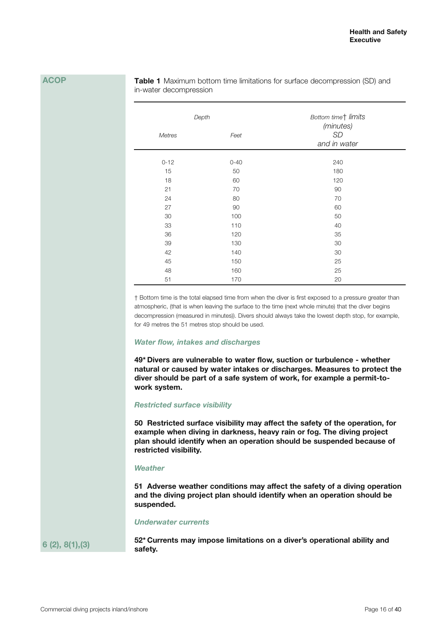**Table 1** Maximum bottom time limitations for surface decompression (SD) and in-water decompression

| Depth         |          | Bottom timet limits<br>(minutes) |
|---------------|----------|----------------------------------|
| <b>Metres</b> | Feet     | SD<br>and in water               |
|               |          |                                  |
| $0 - 12$      | $0 - 40$ | 240                              |
| 15            | 50       | 180                              |
| 18            | 60       | 120                              |
| 21            | 70       | 90                               |
| 24            | 80       | 70                               |
| 27            | 90       | 60                               |
| 30            | 100      | 50                               |
| 33            | 110      | 40                               |
| 36            | 120      | 35                               |
| 39            | 130      | 30                               |
| 42            | 140      | 30                               |
| 45            | 150      | 25                               |
| 48            | 160      | 25                               |
| 51            | 170      | 20                               |

† Bottom time is the total elapsed time from when the diver is first exposed to a pressure greater than atmospheric, (that is when leaving the surface to the time (next whole minute) that the diver begins decompression (measured in minutes)). Divers should always take the lowest depth stop, for example, for 49 metres the 51 metres stop should be used.

#### *Water flow, intakes and discharges*

**49\* Divers are vulnerable to water flow, suction or turbulence - whether natural or caused by water intakes or discharges. Measures to protect the diver should be part of a safe system of work, for example a permit-towork system.**

## *Restricted surface visibility*

**50 Restricted surface visibility may affect the safety of the operation, for example when diving in darkness, heavy rain or fog. The diving project plan should identify when an operation should be suspended because of restricted visibility.**

## *Weather*

**51 Adverse weather conditions may affect the safety of a diving operation and the diving project plan should identify when an operation should be suspended.**

#### *Underwater currents*

**6 (2), 8(1),(3)**

**52\* Currents may impose limitations on a diver's operational ability and safety.**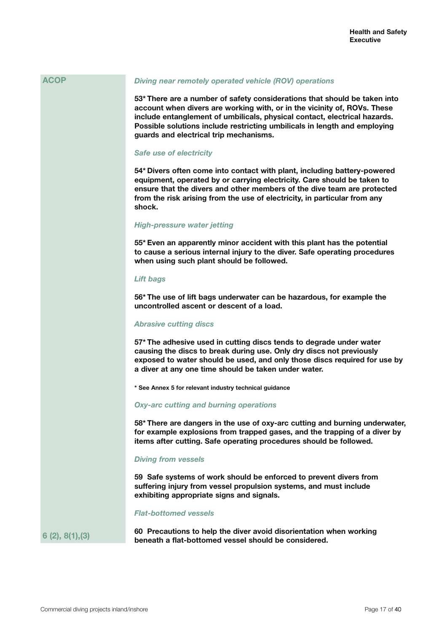## *Diving near remotely operated vehicle (ROV) operations*

**53\* There are a number of safety considerations that should be taken into account when divers are working with, or in the vicinity of, ROVs. These include entanglement of umbilicals, physical contact, electrical hazards. Possible solutions include restricting umbilicals in length and employing guards and electrical trip mechanisms.**

#### *Safe use of electricity*

**54\* Divers often come into contact with plant, including battery-powered equipment, operated by or carrying electricity. Care should be taken to ensure that the divers and other members of the dive team are protected from the risk arising from the use of electricity, in particular from any shock.** 

### *High-pressure water jetting*

**55\* Even an apparently minor accident with this plant has the potential to cause a serious internal injury to the diver. Safe operating procedures when using such plant should be followed.**

### *Lift bags*

**56\* The use of lift bags underwater can be hazardous, for example the uncontrolled ascent or descent of a load.**

## *Abrasive cutting discs*

**57\* The adhesive used in cutting discs tends to degrade under water causing the discs to break during use. Only dry discs not previously exposed to water should be used, and only those discs required for use by a diver at any one time should be taken under water.**

**\* See Annex 5 for relevant industry technical guidance**

### *Oxy-arc cutting and burning operations*

**58\* There are dangers in the use of oxy-arc cutting and burning underwater, for example explosions from trapped gases, and the trapping of a diver by items after cutting. Safe operating procedures should be followed.**

### *Diving from vessels*

**59 Safe systems of work should be enforced to prevent divers from suffering injury from vessel propulsion systems, and must include exhibiting appropriate signs and signals.**

#### *Flat-bottomed vessels*

**6 (2), 8(1),(3)**

**60 Precautions to help the diver avoid disorientation when working beneath a flat-bottomed vessel should be considered.**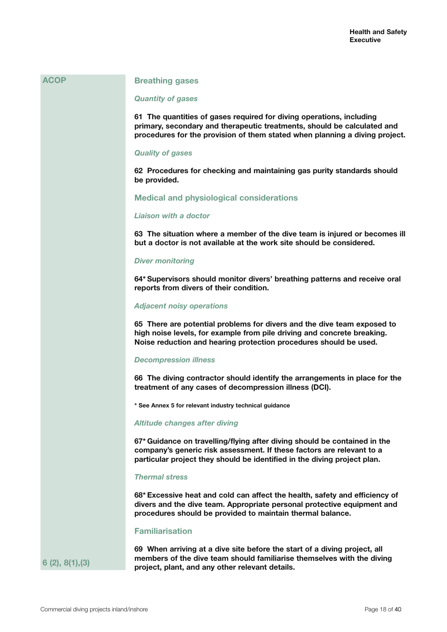#### **Breathing gases**

#### *Quantity of gases*

**61 The quantities of gases required for diving operations, including primary, secondary and therapeutic treatments, should be calculated and procedures for the provision of them stated when planning a diving project.**

#### *Quality of gases*

**62 Procedures for checking and maintaining gas purity standards should be provided.**

## **Medical and physiological considerations**

### *Liaison with a doctor*

**63 The situation where a member of the dive team is injured or becomes ill but a doctor is not available at the work site should be considered.**

#### *Diver monitoring*

**64\* Supervisors should monitor divers' breathing patterns and receive oral reports from divers of their condition.**

#### *Adjacent noisy operations*

**65 There are potential problems for divers and the dive team exposed to high noise levels, for example from pile driving and concrete breaking. Noise reduction and hearing protection procedures should be used.**

#### *Decompression illness*

**66 The diving contractor should identify the arrangements in place for the treatment of any cases of decompression illness (DCI).**

**\* See Annex 5 for relevant industry technical guidance**

## *Altitude changes after diving*

**67\* Guidance on travelling/flying after diving should be contained in the company's generic risk assessment. If these factors are relevant to a particular project they should be identified in the diving project plan.**

#### *Thermal stress*

**68\* Excessive heat and cold can affect the health, safety and efficiency of divers and the dive team. Appropriate personal protective equipment and procedures should be provided to maintain thermal balance.**

### **Familiarisation**

**6 (2), 8(1),(3)**

**69 When arriving at a dive site before the start of a diving project, all members of the dive team should familiarise themselves with the diving project, plant, and any other relevant details.**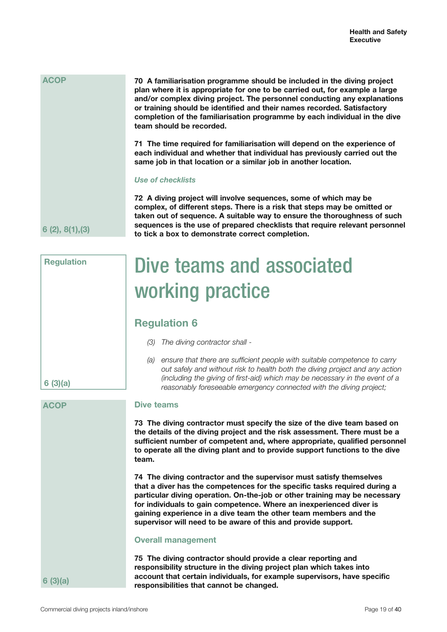| <b>ACOP</b> | 70 A familiarisation programme should be included in the diving project<br>plan where it is appropriate for one to be carried out, for example a large<br>and/or complex diving project. The personnel conducting any explanations<br>or training should be identified and their names recorded. Satisfactory<br>completion of the familiarisation programme by each individual in the dive<br>team should be recorded. |
|-------------|-------------------------------------------------------------------------------------------------------------------------------------------------------------------------------------------------------------------------------------------------------------------------------------------------------------------------------------------------------------------------------------------------------------------------|
|             | 71 The time required for familiarisation will depend on the experience of<br>each individual and whether that individual has previously carried out the<br>same job in that location or a similar job in another location.                                                                                                                                                                                              |
|             | <b>Use of checklists</b>                                                                                                                                                                                                                                                                                                                                                                                                |
|             | 72 A diving project will involve sequences, some of which may be<br>complex, of different steps. There is a risk that steps may be omitted or<br>taken out of sequence. A suitable way to ensure the thoroughness of such                                                                                                                                                                                               |

**6 (2), 8(1),(3)**

**Regulation**

**sequences is the use of prepared checklists that require relevant personnel to tick a box to demonstrate correct completion.** Dive teams and associated

## working practice

## **Regulation 6**

- *(3) The diving contractor shall -*
- *(a) ensure that there are sufficient people with suitable competence to carry out safely and without risk to health both the diving project and any action (including the giving of first-aid) which may be necessary in the event of a reasonably foreseeable emergency connected with the diving project;*

## **Dive teams**

**73 The diving contractor must specify the size of the dive team based on the details of the diving project and the risk assessment. There must be a sufficient number of competent and, where appropriate, qualified personnel to operate all the diving plant and to provide support functions to the dive team.**

**74 The diving contractor and the supervisor must satisfy themselves that a diver has the competences for the specific tasks required during a particular diving operation. On-the-job or other training may be necessary for individuals to gain competence. Where an inexperienced diver is gaining experience in a dive team the other team members and the supervisor will need to be aware of this and provide support.**

## **Overall management**

**75 The diving contractor should provide a clear reporting and responsibility structure in the diving project plan which takes into account that certain individuals, for example supervisors, have specific responsibilities that cannot be changed.**

**6 (3)(a)**

## **ACOP**

**6 (3)(a)**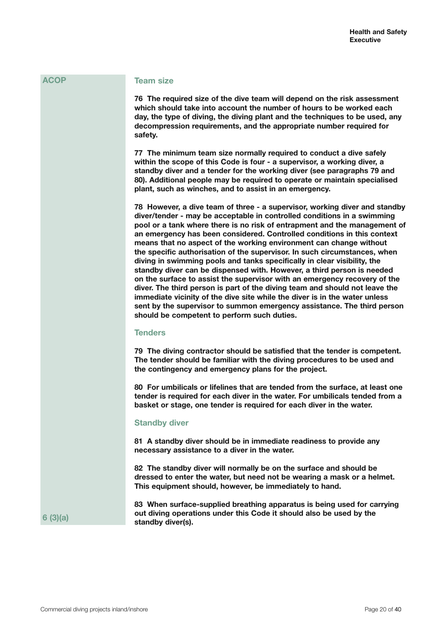### **Team size**

**76 The required size of the dive team will depend on the risk assessment which should take into account the number of hours to be worked each day, the type of diving, the diving plant and the techniques to be used, any decompression requirements, and the appropriate number required for safety.**

**77 The minimum team size normally required to conduct a dive safely within the scope of this Code is four - a supervisor, a working diver, a standby diver and a tender for the working diver (see paragraphs 79 and 80). Additional people may be required to operate or maintain specialised plant, such as winches, and to assist in an emergency.**

**78 However, a dive team of three - a supervisor, working diver and standby diver/tender - may be acceptable in controlled conditions in a swimming pool or a tank where there is no risk of entrapment and the management of an emergency has been considered. Controlled conditions in this context means that no aspect of the working environment can change without the specific authorisation of the supervisor. In such circumstances, when diving in swimming pools and tanks specifically in clear visibility, the standby diver can be dispensed with. However, a third person is needed on the surface to assist the supervisor with an emergency recovery of the diver. The third person is part of the diving team and should not leave the immediate vicinity of the dive site while the diver is in the water unless sent by the supervisor to summon emergency assistance. The third person should be competent to perform such duties.**

### **Tenders**

**79 The diving contractor should be satisfied that the tender is competent. The tender should be familiar with the diving procedures to be used and the contingency and emergency plans for the project.**

**80 For umbilicals or lifelines that are tended from the surface, at least one tender is required for each diver in the water. For umbilicals tended from a basket or stage, one tender is required for each diver in the water.**

#### **Standby diver**

**81 A standby diver should be in immediate readiness to provide any necessary assistance to a diver in the water.** 

**82 The standby diver will normally be on the surface and should be dressed to enter the water, but need not be wearing a mask or a helmet. This equipment should, however, be immediately to hand.**

**83 When surface-supplied breathing apparatus is being used for carrying out diving operations under this Code it should also be used by the standby diver(s).**

**6 (3)(a)**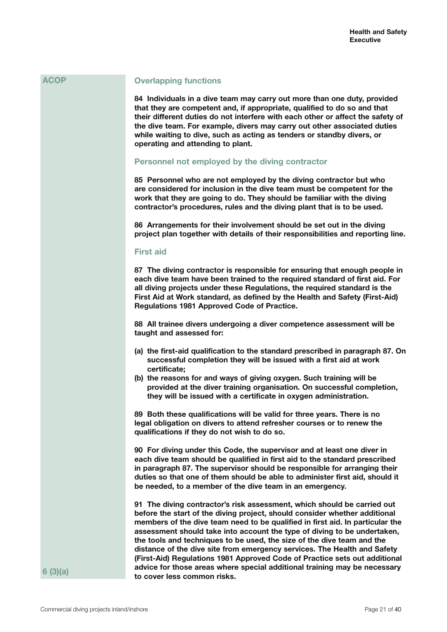## **Overlapping functions**

**84 Individuals in a dive team may carry out more than one duty, provided that they are competent and, if appropriate, qualified to do so and that their different duties do not interfere with each other or affect the safety of the dive team. For example, divers may carry out other associated duties while waiting to dive, such as acting as tenders or standby divers, or operating and attending to plant.**

### **Personnel not employed by the diving contractor**

**85 Personnel who are not employed by the diving contractor but who are considered for inclusion in the dive team must be competent for the work that they are going to do. They should be familiar with the diving contractor's procedures, rules and the diving plant that is to be used.**

**86 Arrangements for their involvement should be set out in the diving project plan together with details of their responsibilities and reporting line.**

## **First aid**

**87 The diving contractor is responsible for ensuring that enough people in each dive team have been trained to the required standard of first aid. For all diving projects under these Regulations, the required standard is the First Aid at Work standard, as defined by the Health and Safety (First-Aid) Regulations 1981 Approved Code of Practice.** 

**88 All trainee divers undergoing a diver competence assessment will be taught and assessed for:**

- **(a) the first-aid qualification to the standard prescribed in paragraph 87. On successful completion they will be issued with a first aid at work certificate;**
- **(b) the reasons for and ways of giving oxygen. Such training will be provided at the diver training organisation. On successful completion, they will be issued with a certificate in oxygen administration.**

**89 Both these qualifications will be valid for three years. There is no legal obligation on divers to attend refresher courses or to renew the qualifications if they do not wish to do so.**

**90 For diving under this Code, the supervisor and at least one diver in each dive team should be qualified in first aid to the standard prescribed in paragraph 87. The supervisor should be responsible for arranging their duties so that one of them should be able to administer first aid, should it be needed, to a member of the dive team in an emergency.**

**91 The diving contractor's risk assessment, which should be carried out before the start of the diving project, should consider whether additional members of the dive team need to be qualified in first aid. In particular the assessment should take into account the type of diving to be undertaken, the tools and techniques to be used, the size of the dive team and the distance of the dive site from emergency services. The Health and Safety (First-Aid) Regulations 1981 Approved Code of Practice sets out additional advice for those areas where special additional training may be necessary to cover less common risks.**

**6 (3)(a)**

**ACOP**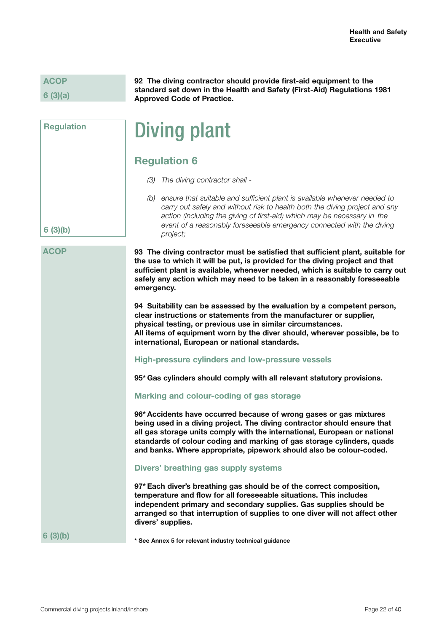## **6 (3)(a)**

**6 (3)(b)**

**ACOP**

**Regulation**

**92 The diving contractor should provide first-aid equipment to the standard set down in the Health and Safety (First-Aid) Regulations 1981 Approved Code of Practice.**

## Diving plant

## **Regulation 6**

- *(3) The diving contractor shall -*
- *(b) ensure that suitable and sufficient plant is available whenever needed to carry out safely and without risk to health both the diving project and any action (including the giving of first-aid) which may be necessary in the event of a reasonably foreseeable emergency connected with the diving project;*

**93 The diving contractor must be satisfied that sufficient plant, suitable for the use to which it will be put, is provided for the diving project and that sufficient plant is available, whenever needed, which is suitable to carry out safely any action which may need to be taken in a reasonably foreseeable emergency.**

**94 Suitability can be assessed by the evaluation by a competent person, clear instructions or statements from the manufacturer or supplier, physical testing, or previous use in similar circumstances. All items of equipment worn by the diver should, wherever possible, be to international, European or national standards.**

**High-pressure cylinders and low-pressure vessels**

**95\* Gas cylinders should comply with all relevant statutory provisions.**

## **Marking and colour-coding of gas storage**

**96\* Accidents have occurred because of wrong gases or gas mixtures being used in a diving project. The diving contractor should ensure that all gas storage units comply with the international, European or national standards of colour coding and marking of gas storage cylinders, quads and banks. Where appropriate, pipework should also be colour-coded.**

## **Divers' breathing gas supply systems**

**97\* Each diver's breathing gas should be of the correct composition, temperature and flow for all foreseeable situations. This includes independent primary and secondary supplies. Gas supplies should be arranged so that interruption of supplies to one diver will not affect other divers' supplies.**

**6 (3)(b)**

**\* See Annex 5 for relevant industry technical guidance**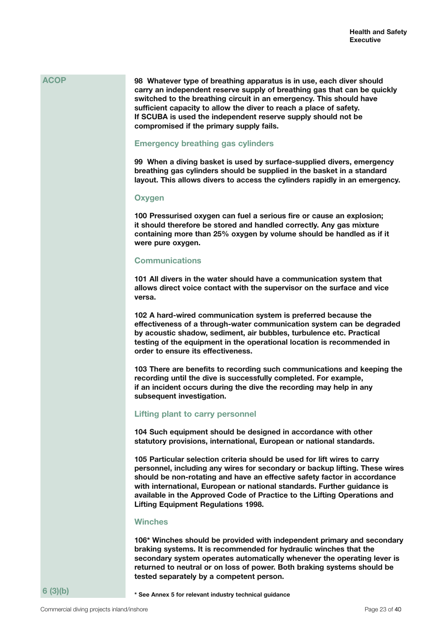**98 Whatever type of breathing apparatus is in use, each diver should carry an independent reserve supply of breathing gas that can be quickly switched to the breathing circuit in an emergency. This should have sufficient capacity to allow the diver to reach a place of safety. If SCUBA is used the independent reserve supply should not be compromised if the primary supply fails.**

## **Emergency breathing gas cylinders**

**99 When a diving basket is used by surface-supplied divers, emergency breathing gas cylinders should be supplied in the basket in a standard layout. This allows divers to access the cylinders rapidly in an emergency.**

### **Oxygen**

**100 Pressurised oxygen can fuel a serious fire or cause an explosion; it should therefore be stored and handled correctly. Any gas mixture containing more than 25% oxygen by volume should be handled as if it were pure oxygen.**

## **Communications**

**101 All divers in the water should have a communication system that allows direct voice contact with the supervisor on the surface and vice versa.**

**102 A hard-wired communication system is preferred because the effectiveness of a through-water communication system can be degraded by acoustic shadow, sediment, air bubbles, turbulence etc. Practical testing of the equipment in the operational location is recommended in order to ensure its effectiveness.**

**103 There are benefits to recording such communications and keeping the recording until the dive is successfully completed. For example, if an incident occurs during the dive the recording may help in any subsequent investigation.**

## **Lifting plant to carry personnel**

**104 Such equipment should be designed in accordance with other statutory provisions, international, European or national standards.**

**105 Particular selection criteria should be used for lift wires to carry personnel, including any wires for secondary or backup lifting. These wires should be non-rotating and have an effective safety factor in accordance with international, European or national standards. Further guidance is available in the Approved Code of Practice to the Lifting Operations and Lifting Equipment Regulations 1998.**

#### **Winches**

**106\* Winches should be provided with independent primary and secondary braking systems. It is recommended for hydraulic winches that the secondary system operates automatically whenever the operating lever is returned to neutral or on loss of power. Both braking systems should be tested separately by a competent person.**

**\* See Annex 5 for relevant industry technical guidance**

**6 (3)(b)**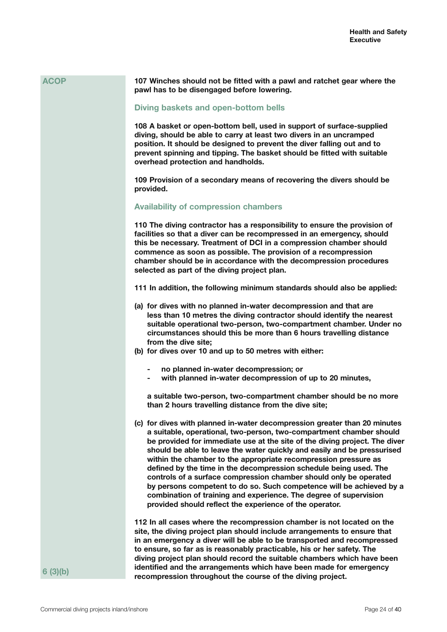| <b>ACOP</b> | 107 Winches should not be fitted with a pawl and ratchet gear where the<br>pawl has to be disengaged before lowering.                                                                                                                                                                                                                                                                                                                                                                                                                                                                                                                                                                                                          |
|-------------|--------------------------------------------------------------------------------------------------------------------------------------------------------------------------------------------------------------------------------------------------------------------------------------------------------------------------------------------------------------------------------------------------------------------------------------------------------------------------------------------------------------------------------------------------------------------------------------------------------------------------------------------------------------------------------------------------------------------------------|
|             | Diving baskets and open-bottom bells                                                                                                                                                                                                                                                                                                                                                                                                                                                                                                                                                                                                                                                                                           |
|             | 108 A basket or open-bottom bell, used in support of surface-supplied<br>diving, should be able to carry at least two divers in an uncramped<br>position. It should be designed to prevent the diver falling out and to<br>prevent spinning and tipping. The basket should be fitted with suitable<br>overhead protection and handholds.                                                                                                                                                                                                                                                                                                                                                                                       |
|             | 109 Provision of a secondary means of recovering the divers should be<br>provided.                                                                                                                                                                                                                                                                                                                                                                                                                                                                                                                                                                                                                                             |
|             | <b>Availability of compression chambers</b>                                                                                                                                                                                                                                                                                                                                                                                                                                                                                                                                                                                                                                                                                    |
|             | 110 The diving contractor has a responsibility to ensure the provision of<br>facilities so that a diver can be recompressed in an emergency, should<br>this be necessary. Treatment of DCI in a compression chamber should<br>commence as soon as possible. The provision of a recompression<br>chamber should be in accordance with the decompression procedures<br>selected as part of the diving project plan.                                                                                                                                                                                                                                                                                                              |
|             | 111 In addition, the following minimum standards should also be applied:                                                                                                                                                                                                                                                                                                                                                                                                                                                                                                                                                                                                                                                       |
|             | (a) for dives with no planned in-water decompression and that are<br>less than 10 metres the diving contractor should identify the nearest<br>suitable operational two-person, two-compartment chamber. Under no<br>circumstances should this be more than 6 hours travelling distance<br>from the dive site;<br>(b) for dives over 10 and up to 50 metres with either:                                                                                                                                                                                                                                                                                                                                                        |
|             | no planned in-water decompression; or<br>with planned in-water decompression of up to 20 minutes,                                                                                                                                                                                                                                                                                                                                                                                                                                                                                                                                                                                                                              |
|             | a suitable two-person, two-compartment chamber should be no more<br>than 2 hours travelling distance from the dive site;                                                                                                                                                                                                                                                                                                                                                                                                                                                                                                                                                                                                       |
|             | (c) for dives with planned in-water decompression greater than 20 minutes<br>a suitable, operational, two-person, two-compartment chamber should<br>be provided for immediate use at the site of the diving project. The diver<br>should be able to leave the water quickly and easily and be pressurised<br>within the chamber to the appropriate recompression pressure as<br>defined by the time in the decompression schedule being used. The<br>controls of a surface compression chamber should only be operated<br>by persons competent to do so. Such competence will be achieved by a<br>combination of training and experience. The degree of supervision<br>provided should reflect the experience of the operator. |
| 6(3)(b)     | 112 In all cases where the recompression chamber is not located on the<br>site, the diving project plan should include arrangements to ensure that<br>in an emergency a diver will be able to be transported and recompressed<br>to ensure, so far as is reasonably practicable, his or her safety. The<br>diving project plan should record the suitable chambers which have been<br>identified and the arrangements which have been made for emergency                                                                                                                                                                                                                                                                       |
|             | recompression throughout the course of the diving project.                                                                                                                                                                                                                                                                                                                                                                                                                                                                                                                                                                                                                                                                     |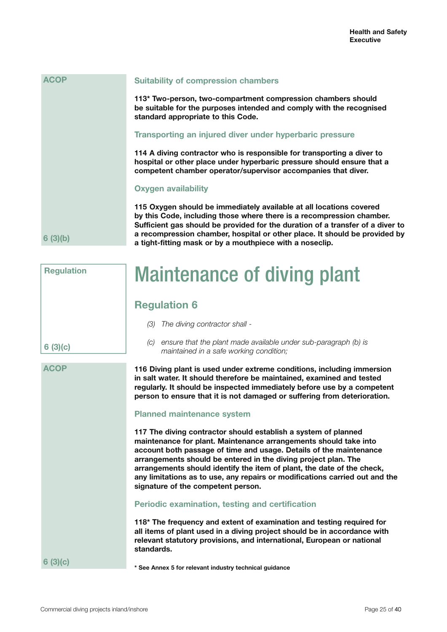**\* See Annex 5 for relevant industry technical guidance**

**Suitability of compression chambers**

**113\* Two-person, two-compartment compression chambers should be suitable for the purposes intended and comply with the recognised standard appropriate to this Code.**

#### **Transporting an injured diver under hyperbaric pressure**

**114 A diving contractor who is responsible for transporting a diver to hospital or other place under hyperbaric pressure should ensure that a competent chamber operator/supervisor accompanies that diver.**

#### **Oxygen availability**

**115 Oxygen should be immediately available at all locations covered by this Code, including those where there is a recompression chamber. Sufficient gas should be provided for the duration of a transfer of a diver to a recompression chamber, hospital or other place. It should be provided by a tight-fitting mask or by a mouthpiece with a noseclip.**

## Maintenance of diving plant

## **Regulation 6**

*(3) The diving contractor shall -*

 *maintained in a safe working condition;*

**6 (3)(c)**

**Regulation**

**6 (3)(b)**

**ACOP**

**ACOP**

**116 Diving plant is used under extreme conditions, including immersion in salt water. It should therefore be maintained, examined and tested regularly. It should be inspected immediately before use by a competent** 

**person to ensure that it is not damaged or suffering from deterioration.**

*(c) ensure that the plant made available under sub-paragraph (b) is* 

#### **Planned maintenance system**

**117 The diving contractor should establish a system of planned maintenance for plant. Maintenance arrangements should take into account both passage of time and usage. Details of the maintenance arrangements should be entered in the diving project plan. The arrangements should identify the item of plant, the date of the check, any limitations as to use, any repairs or modifications carried out and the signature of the competent person.**

## **Periodic examination, testing and certification**

**118\* The frequency and extent of examination and testing required for all items of plant used in a diving project should be in accordance with relevant statutory provisions, and international, European or national standards.**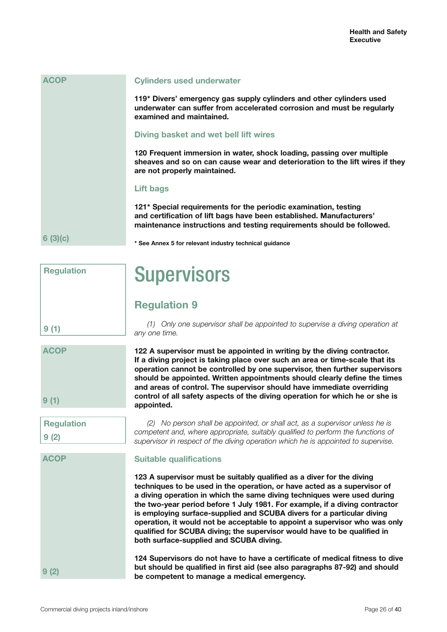| <b>ACOP</b> | <b>Cylinders used underwater</b>                                                                                                                                                                                 |
|-------------|------------------------------------------------------------------------------------------------------------------------------------------------------------------------------------------------------------------|
|             | 119* Divers' emergency gas supply cylinders and other cylinders used<br>underwater can suffer from accelerated corrosion and must be regularly<br>examined and maintained.                                       |
|             | Diving basket and wet bell lift wires                                                                                                                                                                            |
|             | 120 Frequent immersion in water, shock loading, passing over multiple<br>sheaves and so on can cause wear and deterioration to the lift wires if they<br>are not properly maintained.                            |
|             | Lift bags                                                                                                                                                                                                        |
|             | 121* Special requirements for the periodic examination, testing<br>and certification of lift bags have been established. Manufacturers'<br>maintenance instructions and testing requirements should be followed. |
| 6(3)(c)     | * See Annex 5 for relevant industry technical guidance                                                                                                                                                           |

## **Supervisors**

## **Regulation 9**

*(1) Only one supervisor shall be appointed to supervise a diving operation at any one time.*

**122 A supervisor must be appointed in writing by the diving contractor. If a diving project is taking place over such an area or time-scale that its operation cannot be controlled by one supervisor, then further supervisors should be appointed. Written appointments should clearly define the times and areas of control. The supervisor should have immediate overriding control of all safety aspects of the diving operation for which he or she is appointed.**

*(2) No person shall be appointed, or shall act, as a supervisor unless he is competent and, where appropriate, suitably qualified to perform the functions of supervisor in respect of the diving operation which he is appointed to supervise.*

## **Suitable qualifications**

**123 A supervisor must be suitably qualified as a diver for the diving techniques to be used in the operation, or have acted as a supervisor of a diving operation in which the same diving techniques were used during the two-year period before 1 July 1981. For example, if a diving contractor is employing surface-supplied and SCUBA divers for a particular diving operation, it would not be acceptable to appoint a supervisor who was only qualified for SCUBA diving; the supervisor would have to be qualified in both surface-supplied and SCUBA diving.**

**124 Supervisors do not have to have a certificate of medical fitness to dive but should be qualified in first aid (see also paragraphs 87-92) and should be competent to manage a medical emergency.**

**Regulation**

**Regulation**

**9 (2)**

**ACOP**

**9 (2)**

**9 (1)**

**9 (1)**

**ACOP**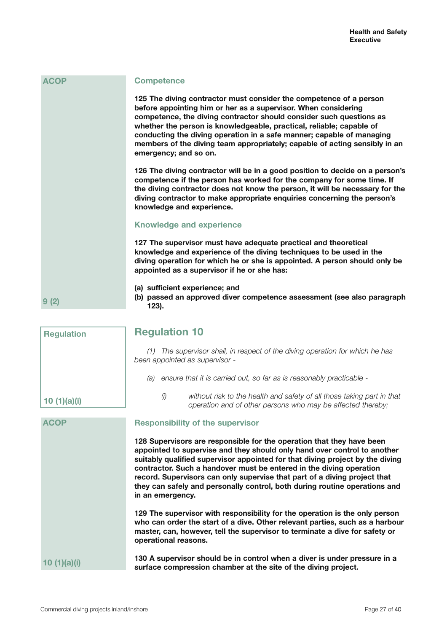| <b>ACOP</b>       | <b>Competence</b>                                                                                                                                                                                                                                                                                                                                                                                                                                                   |
|-------------------|---------------------------------------------------------------------------------------------------------------------------------------------------------------------------------------------------------------------------------------------------------------------------------------------------------------------------------------------------------------------------------------------------------------------------------------------------------------------|
|                   | 125 The diving contractor must consider the competence of a person<br>before appointing him or her as a supervisor. When considering<br>competence, the diving contractor should consider such questions as<br>whether the person is knowledgeable, practical, reliable; capable of<br>conducting the diving operation in a safe manner; capable of managing<br>members of the diving team appropriately; capable of acting sensibly in an<br>emergency; and so on. |
|                   | 126 The diving contractor will be in a good position to decide on a person's<br>competence if the person has worked for the company for some time. If<br>the diving contractor does not know the person, it will be necessary for the<br>diving contractor to make appropriate enquiries concerning the person's<br>knowledge and experience.                                                                                                                       |
|                   | <b>Knowledge and experience</b>                                                                                                                                                                                                                                                                                                                                                                                                                                     |
|                   | 127 The supervisor must have adequate practical and theoretical<br>knowledge and experience of the diving techniques to be used in the<br>diving operation for which he or she is appointed. A person should only be<br>appointed as a supervisor if he or she has:                                                                                                                                                                                                 |
| 9(2)              | (a) sufficient experience; and<br>(b) passed an approved diver competence assessment (see also paragraph<br>123).                                                                                                                                                                                                                                                                                                                                                   |
| <b>Regulation</b> | <b>Regulation 10</b>                                                                                                                                                                                                                                                                                                                                                                                                                                                |
|                   | (1) The supervisor shall, in respect of the diving operation for which he has<br>been appointed as supervisor -                                                                                                                                                                                                                                                                                                                                                     |
|                   | (a) ensure that it is carried out, so far as is reasonably practicable -                                                                                                                                                                                                                                                                                                                                                                                            |
| 10 $(1)(a)(i)$    | (i)<br>without risk to the health and safety of all those taking part in that<br>operation and of other persons who may be affected thereby;                                                                                                                                                                                                                                                                                                                        |
| <b>ACOP</b>       | <b>Responsibility of the supervisor</b>                                                                                                                                                                                                                                                                                                                                                                                                                             |
|                   | 128 Supervisors are responsible for the operation that they have been<br>appointed to supervise and they should only hand over control to apother                                                                                                                                                                                                                                                                                                                   |

**appointed to supervise and they should only hand over control to another suitably qualified supervisor appointed for that diving project by the diving contractor. Such a handover must be entered in the diving operation record. Supervisors can only supervise that part of a diving project that they can safely and personally control, both during routine operations and in an emergency.**

**129 The supervisor with responsibility for the operation is the only person who can order the start of a dive. Other relevant parties, such as a harbour master, can, however, tell the supervisor to terminate a dive for safety or operational reasons.**

**130 A supervisor should be in control when a diver is under pressure in a surface compression chamber at the site of the diving project. 10 (1)(a)(i)**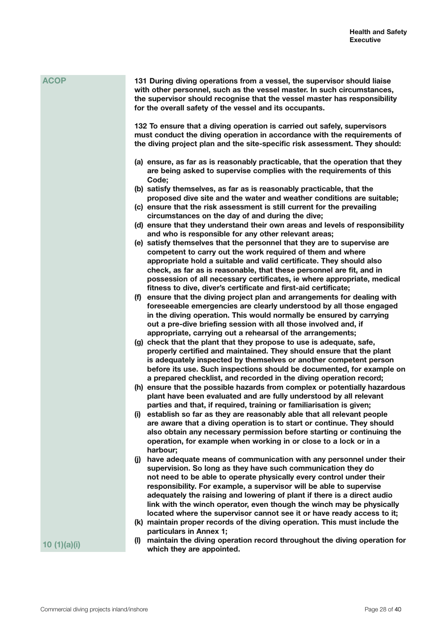| <b>ACOP</b> | 131 During diving operations from a vessel, the supervisor should liaise<br>with other personnel, such as the vessel master. In such circumstances,<br>the supervisor should recognise that the vessel master has responsibility<br>for the overall safety of the vessel and its occupants.                                                                                                                                                                                                                                     |
|-------------|---------------------------------------------------------------------------------------------------------------------------------------------------------------------------------------------------------------------------------------------------------------------------------------------------------------------------------------------------------------------------------------------------------------------------------------------------------------------------------------------------------------------------------|
|             | 132 To ensure that a diving operation is carried out safely, supervisors<br>must conduct the diving operation in accordance with the requirements of<br>the diving project plan and the site-specific risk assessment. They should:                                                                                                                                                                                                                                                                                             |
|             | (a) ensure, as far as is reasonably practicable, that the operation that they<br>are being asked to supervise complies with the requirements of this<br>Code;                                                                                                                                                                                                                                                                                                                                                                   |
|             | (b) satisfy themselves, as far as is reasonably practicable, that the<br>proposed dive site and the water and weather conditions are suitable;<br>(c) ensure that the risk assessment is still current for the prevailing                                                                                                                                                                                                                                                                                                       |
|             | circumstances on the day of and during the dive;                                                                                                                                                                                                                                                                                                                                                                                                                                                                                |
|             | (d) ensure that they understand their own areas and levels of responsibility<br>and who is responsible for any other relevant areas;                                                                                                                                                                                                                                                                                                                                                                                            |
|             | (e) satisfy themselves that the personnel that they are to supervise are                                                                                                                                                                                                                                                                                                                                                                                                                                                        |
|             | competent to carry out the work required of them and where<br>appropriate hold a suitable and valid certificate. They should also<br>check, as far as is reasonable, that these personnel are fit, and in<br>possession of all necessary certificates, ie where appropriate, medical<br>fitness to dive, diver's certificate and first-aid certificate;                                                                                                                                                                         |
|             | (f) ensure that the diving project plan and arrangements for dealing with<br>foreseeable emergencies are clearly understood by all those engaged<br>in the diving operation. This would normally be ensured by carrying<br>out a pre-dive briefing session with all those involved and, if<br>appropriate, carrying out a rehearsal of the arrangements;                                                                                                                                                                        |
|             | (g) check that the plant that they propose to use is adequate, safe,<br>properly certified and maintained. They should ensure that the plant<br>is adequately inspected by themselves or another competent person<br>before its use. Such inspections should be documented, for example on<br>a prepared checklist, and recorded in the diving operation record;                                                                                                                                                                |
|             | (h) ensure that the possible hazards from complex or potentially hazardous<br>plant have been evaluated and are fully understood by all relevant<br>parties and that, if required, training or familiarisation is given;                                                                                                                                                                                                                                                                                                        |
|             | establish so far as they are reasonably able that all relevant people<br>(i)<br>are aware that a diving operation is to start or continue. They should<br>also obtain any necessary permission before starting or continuing the<br>operation, for example when working in or close to a lock or in a<br>harbour;                                                                                                                                                                                                               |
|             | have adequate means of communication with any personnel under their<br>$\mathbf{U}$<br>supervision. So long as they have such communication they do<br>not need to be able to operate physically every control under their<br>responsibility. For example, a supervisor will be able to supervise<br>adequately the raising and lowering of plant if there is a direct audio<br>link with the winch operator, even though the winch may be physically<br>located where the supervisor cannot see it or have ready access to it; |
|             | (k) maintain proper records of the diving operation. This must include the                                                                                                                                                                                                                                                                                                                                                                                                                                                      |
| 10(1)(a)(i) | particulars in Annex 1;<br>maintain the diving operation record throughout the diving operation for<br>(I)<br>which they are appointed.                                                                                                                                                                                                                                                                                                                                                                                         |

Commercial diving projects inland/inshore extending the extension of the Page 28 of 40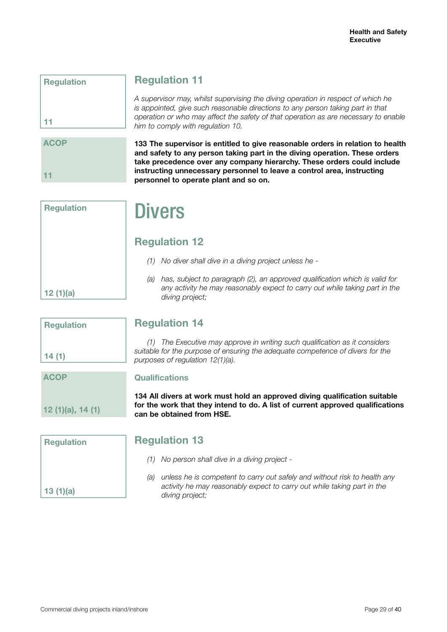| <b>Regulation</b> |  |
|-------------------|--|
|                   |  |
|                   |  |
| 11                |  |

## **Regulation 11**

*A supervisor may, whilst supervising the diving operation in respect of which he is appointed, give such reasonable directions to any person taking part in that operation or who may affect the safety of that operation as are necessary to enable him to comply with regulation 10.*

**ACOP 11**

**133 The supervisor is entitled to give reasonable orders in relation to health and safety to any person taking part in the diving operation. These orders take precedence over any company hierarchy. These orders could include instructing unnecessary personnel to leave a control area, instructing personnel to operate plant and so on.**

| <b>Regulation</b> |  |
|-------------------|--|
|                   |  |
|                   |  |
|                   |  |
|                   |  |
| 12(1)(a)          |  |

## **Divers**

## **Regulation 12**

- *(1) No diver shall dive in a diving project unless he -*
- *(a) has, subject to paragraph (2), an approved qualification which is valid for any activity he may reasonably expect to carry out while taking part in the diving project;*

| <b>Regulation</b> |  |
|-------------------|--|
| 14(1)             |  |
|                   |  |

**12 (1)(a), 14 (1)**

## **Regulation 14**

*(1) The Executive may approve in writing such qualification as it considers suitable for the purpose of ensuring the adequate competence of divers for the purposes of regulation 12(1)(a).*

## **Qualifications**

**134 All divers at work must hold an approved diving qualification suitable for the work that they intend to do. A list of current approved qualifications can be obtained from HSE.**

| <b>Regulation</b> |  |
|-------------------|--|
|                   |  |
| 13(1)(a)          |  |

## **Regulation 13**

- *(1) No person shall dive in a diving project -*
- *(a) unless he is competent to carry out safely and without risk to health any activity he may reasonably expect to carry out while taking part in the diving project;*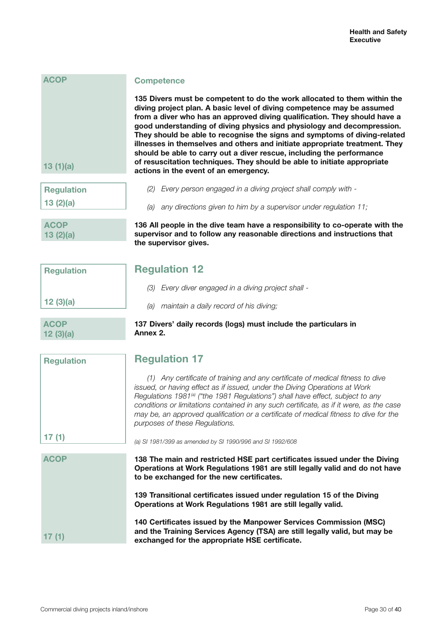| 13(1)(a)          | 135 Divers must be competent to do the work allocated to the<br>diving project plan. A basic level of diving competence may be<br>from a diver who has an approved diving qualification. They sh<br>good understanding of diving physics and physiology and dec<br>They should be able to recognise the signs and symptoms of a<br>illnesses in themselves and others and initiate appropriate trea<br>should be able to carry out a diver rescue, including the perfor<br>of resuscitation techniques. They should be able to initiate app<br>actions in the event of an emergency. |
|-------------------|--------------------------------------------------------------------------------------------------------------------------------------------------------------------------------------------------------------------------------------------------------------------------------------------------------------------------------------------------------------------------------------------------------------------------------------------------------------------------------------------------------------------------------------------------------------------------------------|
| <b>Requiation</b> | (2) Every person engaged in a diving project shall comply with -                                                                                                                                                                                                                                                                                                                                                                                                                                                                                                                     |

## **Competence**

**135 Divers must be competent to do the work allocated to them within the diving project plan. A basic level of diving competence may be assumed from a diver who has an approved diving qualification. They should have a good understanding of diving physics and physiology and decompression. They should be able to recognise the signs and symptoms of diving-related**  ses in themselves and others and initiate appropriate treatment. They **should be able to carry out a diver rescue, including the performance of resuscitation techniques. They should be able to initiate appropriate actions in the event of an emergency.**

| <b>Regulation</b> |  |
|-------------------|--|
| 13(2)(a)          |  |

**ACOP**

**Regulation**

**12 (3)(a)**

**ACOP 12 (3)(a)**

**13 (2)(a)**

**ACOP**

| 136 All people in the dive team have a responsibility to co-operate with the |
|------------------------------------------------------------------------------|
| supervisor and to follow any reasonable directions and instructions that     |
| the supervisor gives.                                                        |

*(a) any directions given to him by a supervisor under regulation 11;*

## **Regulation 12**

- *(3) Every diver engaged in a diving project shall -*
- *(a) maintain a daily record of his diving;*

## **137 Divers' daily records (logs) must include the particulars in Annex 2.**

| <b>Regulation</b> | <b>Regulation 17</b>                                                                                                                                                                                                                                                                                                                                                                                                                                                             |
|-------------------|----------------------------------------------------------------------------------------------------------------------------------------------------------------------------------------------------------------------------------------------------------------------------------------------------------------------------------------------------------------------------------------------------------------------------------------------------------------------------------|
|                   | (1) Any certificate of training and any certificate of medical fitness to dive<br>issued, or having effect as if issued, under the Diving Operations at Work<br>Regulations 1981 <sup>(a)</sup> ("the 1981 Regulations") shall have effect, subject to any<br>conditions or limitations contained in any such certificate, as if it were, as the case<br>may be, an approved qualification or a certificate of medical fitness to dive for the<br>purposes of these Regulations. |
| 17(1)             | (a) SI 1981/399 as amended by SI 1990/996 and SI 1992/608                                                                                                                                                                                                                                                                                                                                                                                                                        |
| <b>ACOP</b>       | 138 The main and restricted HSE part certificates issued under the Diving<br>Operations at Work Regulations 1981 are still legally valid and do not have<br>to be exchanged for the new certificates.                                                                                                                                                                                                                                                                            |
|                   | 139 Transitional certificates issued under regulation 15 of the Diving<br>Operations at Work Regulations 1981 are still legally valid.                                                                                                                                                                                                                                                                                                                                           |
|                   | 140 Certificates issued by the Manpower Services Commission (MSC)<br>and the Training Services Agency (TSA) are still legally valid, but may be<br>exchanged for the appropriate HSE certificate.                                                                                                                                                                                                                                                                                |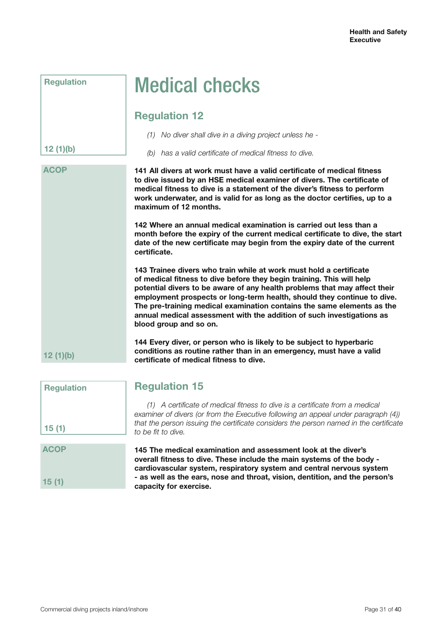|  | <b>Medical checks</b> |
|--|-----------------------|
|  |                       |

## **Regulation 12**

**Regulation**

**12 (1)(b)**

**12 (1)(b)**

*(1) No diver shall dive in a diving project unless he -*

*(b) has a valid certificate of medical fitness to dive.*

**141 All divers at work must have a valid certificate of medical fitness to dive issued by an HSE medical examiner of divers. The certificate of medical fitness to dive is a statement of the diver's fitness to perform work underwater, and is valid for as long as the doctor certifies, up to a maximum of 12 months. ACOP**

> **142 Where an annual medical examination is carried out less than a month before the expiry of the current medical certificate to dive, the start date of the new certificate may begin from the expiry date of the current certificate.**

**143 Trainee divers who train while at work must hold a certificate of medical fitness to dive before they begin training. This will help potential divers to be aware of any health problems that may affect their employment prospects or long-term health, should they continue to dive. The pre-training medical examination contains the same elements as the annual medical assessment with the addition of such investigations as blood group and so on.**

**144 Every diver, or person who is likely to be subject to hyperbaric conditions as routine rather than in an emergency, must have a valid certificate of medical fitness to dive.**

| <b>Regulation</b>    | <b>Regulation 15</b>                                                                                                                                                                                                                                                                                                     |
|----------------------|--------------------------------------------------------------------------------------------------------------------------------------------------------------------------------------------------------------------------------------------------------------------------------------------------------------------------|
| 15(1)                | (1) A certificate of medical fitness to dive is a certificate from a medical<br>examiner of divers (or from the Executive following an appeal under paragraph (4))<br>that the person issuing the certificate considers the person named in the certificate<br>to be fit to dive.                                        |
| <b>ACOP</b><br>15(1) | 145 The medical examination and assessment look at the diver's<br>overall fitness to dive. These include the main systems of the body -<br>cardiovascular system, respiratory system and central nervous system<br>- as well as the ears, nose and throat, vision, dentition, and the person's<br>capacity for exercise. |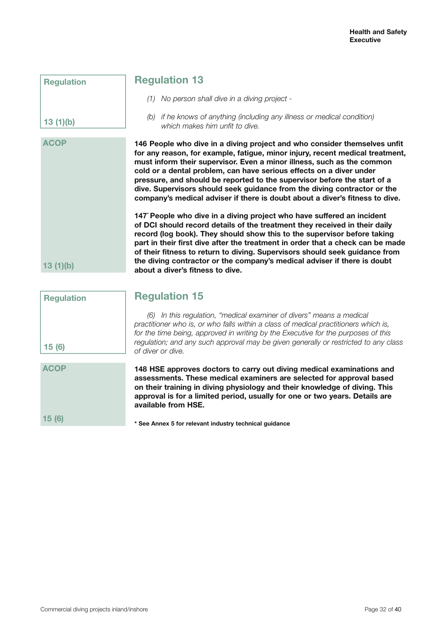**Regulation**

**13 (1)(b)**

**ACOP**

**13 (1)(b)**

## **Regulation 13**

- *(1) No person shall dive in a diving project -*
- *(b) if he knows of anything (including any illness or medical condition) which makes him unfit to dive.*

**146 People who dive in a diving project and who consider themselves unfit for any reason, for example, fatigue, minor injury, recent medical treatment, must inform their supervisor. Even a minor illness, such as the common cold or a dental problem, can have serious effects on a diver under pressure, and should be reported to the supervisor before the start of a dive. Supervisors should seek guidance from the diving contractor or the company's medical adviser if there is doubt about a diver's fitness to dive.**

**147\* People who dive in a diving project who have suffered an incident of DCI should record details of the treatment they received in their daily record (log book). They should show this to the supervisor before taking part in their first dive after the treatment in order that a check can be made of their fitness to return to diving. Supervisors should seek guidance from the diving contractor or the company's medical adviser if there is doubt about a diver's fitness to dive.**

| <b>Regulation</b> | <b>Regulation 15</b>                                                                                                                                                                                                                                                                                                                                            |
|-------------------|-----------------------------------------------------------------------------------------------------------------------------------------------------------------------------------------------------------------------------------------------------------------------------------------------------------------------------------------------------------------|
| 15(6)             | In this regulation, "medical examiner of divers" means a medical<br>(6)<br>practitioner who is, or who falls within a class of medical practitioners which is,<br>for the time being, approved in writing by the Executive for the purposes of this<br>regulation; and any such approval may be given generally or restricted to any class<br>of diver or dive. |
| <b>ACOP</b>       | 148 HSE approves doctors to carry out diving medical examinations and<br>assessments. These medical examiners are selected for approval based<br>on their training in diving physiology and their knowledge of diving. This<br>approval is for a limited period, usually for one or two years. Details are<br>available from HSE.                               |
| 15 (6)            | * See Annex 5 for relevant industry technical guidance                                                                                                                                                                                                                                                                                                          |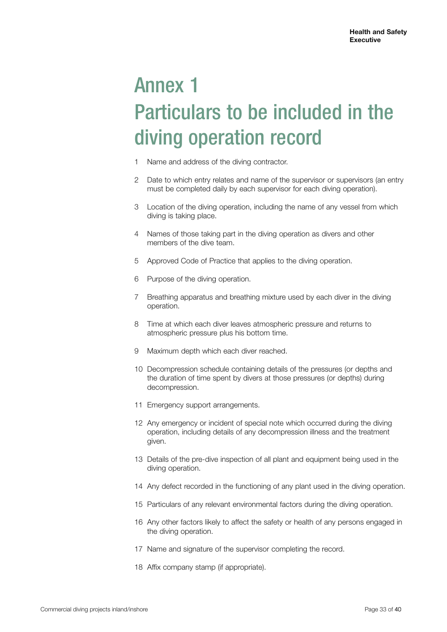# Annex 1 Particulars to be included in the diving operation record

- 1 Name and address of the diving contractor.
- 2 Date to which entry relates and name of the supervisor or supervisors (an entry must be completed daily by each supervisor for each diving operation).
- 3 Location of the diving operation, including the name of any vessel from which diving is taking place.
- 4 Names of those taking part in the diving operation as divers and other members of the dive team.
- 5 Approved Code of Practice that applies to the diving operation.
- 6 Purpose of the diving operation.
- 7 Breathing apparatus and breathing mixture used by each diver in the diving operation.
- 8 Time at which each diver leaves atmospheric pressure and returns to atmospheric pressure plus his bottom time.
- 9 Maximum depth which each diver reached.
- 10 Decompression schedule containing details of the pressures (or depths and the duration of time spent by divers at those pressures (or depths) during decompression.
- 11 Emergency support arrangements.
- 12 Any emergency or incident of special note which occurred during the diving operation, including details of any decompression illness and the treatment given.
- 13 Details of the pre-dive inspection of all plant and equipment being used in the diving operation.
- 14 Any defect recorded in the functioning of any plant used in the diving operation.
- 15 Particulars of any relevant environmental factors during the diving operation.
- 16 Any other factors likely to affect the safety or health of any persons engaged in the diving operation.
- 17 Name and signature of the supervisor completing the record.
- 18 Affix company stamp (if appropriate).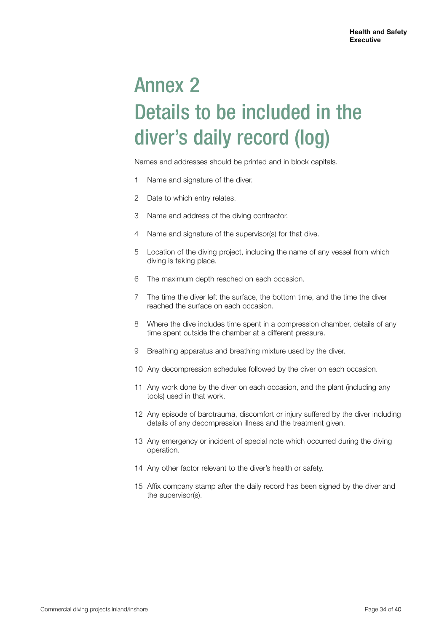# Annex 2 Details to be included in the diver's daily record (log)

Names and addresses should be printed and in block capitals.

- 1 Name and signature of the diver.
- 2 Date to which entry relates.
- 3 Name and address of the diving contractor.
- 4 Name and signature of the supervisor(s) for that dive.
- 5 Location of the diving project, including the name of any vessel from which diving is taking place.
- 6 The maximum depth reached on each occasion.
- 7 The time the diver left the surface, the bottom time, and the time the diver reached the surface on each occasion.
- 8 Where the dive includes time spent in a compression chamber, details of any time spent outside the chamber at a different pressure.
- 9 Breathing apparatus and breathing mixture used by the diver.
- 10 Any decompression schedules followed by the diver on each occasion.
- 11 Any work done by the diver on each occasion, and the plant (including any tools) used in that work.
- 12 Any episode of barotrauma, discomfort or injury suffered by the diver including details of any decompression illness and the treatment given.
- 13 Any emergency or incident of special note which occurred during the diving operation.
- 14 Any other factor relevant to the diver's health or safety.
- 15 Affix company stamp after the daily record has been signed by the diver and the supervisor(s).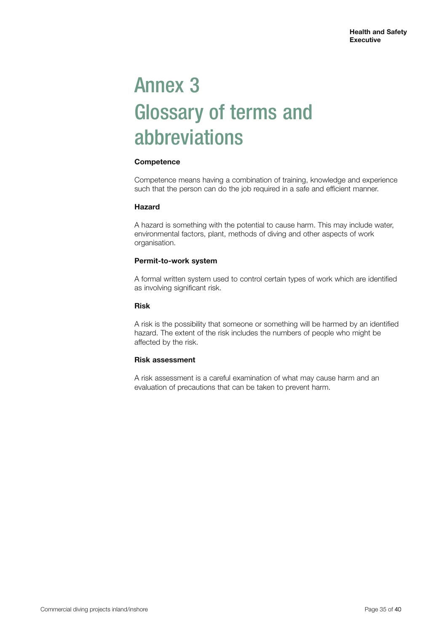# Annex 3 Glossary of terms and abbreviations

## **Competence**

Competence means having a combination of training, knowledge and experience such that the person can do the job required in a safe and efficient manner.

## **Hazard**

A hazard is something with the potential to cause harm. This may include water, environmental factors, plant, methods of diving and other aspects of work organisation.

## **Permit-to-work system**

A formal written system used to control certain types of work which are identified as involving significant risk.

## **Risk**

A risk is the possibility that someone or something will be harmed by an identified hazard. The extent of the risk includes the numbers of people who might be affected by the risk.

## **Risk assessment**

A risk assessment is a careful examination of what may cause harm and an evaluation of precautions that can be taken to prevent harm.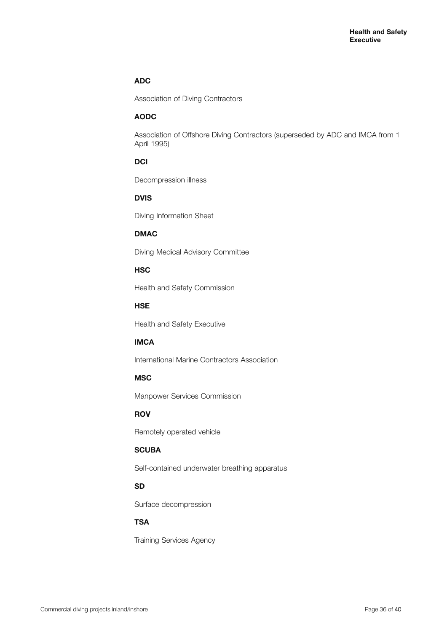## **ADC**

Association of Diving Contractors

## **AODC**

Association of Offshore Diving Contractors (superseded by ADC and IMCA from 1 April 1995)

## **DCI**

Decompression illness

## **DVIS**

Diving Information Sheet

## **DMAC**

Diving Medical Advisory Committee

## **HSC**

Health and Safety Commission

## **HSE**

Health and Safety Executive

## **IMCA**

International Marine Contractors Association

## **MSC**

Manpower Services Commission

## **ROV**

Remotely operated vehicle

## **SCUBA**

Self-contained underwater breathing apparatus

## **SD**

Surface decompression

## **TSA**

Training Services Agency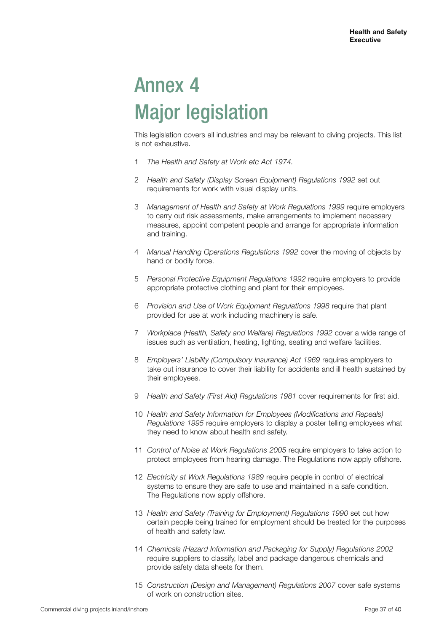# Annex 4 Major legislation

This legislation covers all industries and may be relevant to diving projects. This list is not exhaustive.

- 1 *The Health and Safety at Work etc Act 1974.*
- 2 *Health and Safety (Display Screen Equipment) Regulations 1992* set out requirements for work with visual display units.
- 3 *Management of Health and Safety at Work Regulations 1999* require employers to carry out risk assessments, make arrangements to implement necessary measures, appoint competent people and arrange for appropriate information and training.
- 4 *Manual Handling Operations Regulations 1992* cover the moving of objects by hand or bodily force.
- 5 *Personal Protective Equipment Regulations 1992* require employers to provide appropriate protective clothing and plant for their employees.
- 6 *Provision and Use of Work Equipment Regulations 1998* require that plant provided for use at work including machinery is safe.
- 7 *Workplace (Health, Safety and Welfare) Regulations 1992* cover a wide range of issues such as ventilation, heating, lighting, seating and welfare facilities.
- 8 *Employers' Liability (Compulsory Insurance) Act 1969* requires employers to take out insurance to cover their liability for accidents and ill health sustained by their employees.
- 9 *Health and Safety (First Aid) Regulations 1981* cover requirements for first aid.
- 10 *Health and Safety Information for Employees (Modifications and Repeals) Regulations 1995* require employers to display a poster telling employees what they need to know about health and safety.
- 11 *Control of Noise at Work Regulations 2005* require employers to take action to protect employees from hearing damage. The Regulations now apply offshore.
- 12 *Electricity at Work Regulations 1989* require people in control of electrical systems to ensure they are safe to use and maintained in a safe condition. The Regulations now apply offshore.
- 13 *Health and Safety (Training for Employment) Regulations 1990* set out how certain people being trained for employment should be treated for the purposes of health and safety law.
- 14 *Chemicals (Hazard Information and Packaging for Supply) Regulations 2002* require suppliers to classify, label and package dangerous chemicals and provide safety data sheets for them.
- 15 *Construction (Design and Management) Regulations 2007* cover safe systems of work on construction sites.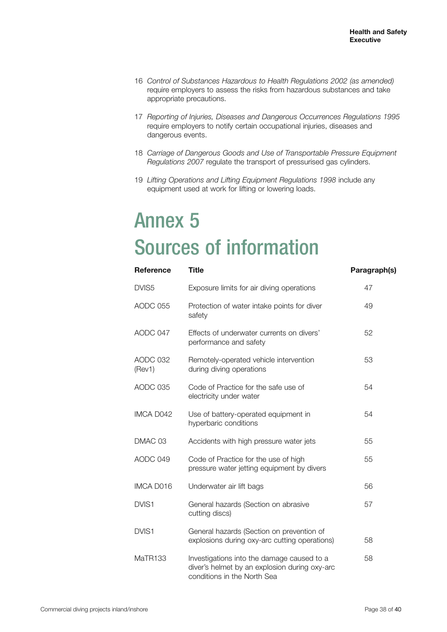- 16 *Control of Substances Hazardous to Health Regulations 2002 (as amended)* require employers to assess the risks from hazardous substances and take appropriate precautions.
- 17 *Reporting of Injuries, Diseases and Dangerous Occurrences Regulations 1995* require employers to notify certain occupational injuries, diseases and dangerous events.
- 18 *Carriage of Dangerous Goods and Use of Transportable Pressure Equipment Regulations 2007* regulate the transport of pressurised gas cylinders.
- 19 *Lifting Operations and Lifting Equipment Regulations 1998* include any equipment used at work for lifting or lowering loads.

## Annex 5 Sources of information

| <b>Reference</b>   | <b>Title</b>                                                                                                               | Paragraph(s) |
|--------------------|----------------------------------------------------------------------------------------------------------------------------|--------------|
| DVIS <sub>5</sub>  | Exposure limits for air diving operations                                                                                  | 47           |
| AODC 055           | Protection of water intake points for diver<br>safety                                                                      | 49           |
| AODC 047           | Effects of underwater currents on divers'<br>performance and safety                                                        | 52           |
| AODC 032<br>(Rev1) | Remotely-operated vehicle intervention<br>during diving operations                                                         | 53           |
| AODC 035           | Code of Practice for the safe use of<br>electricity under water                                                            | 54           |
| IMCA D042          | Use of battery-operated equipment in<br>hyperbaric conditions                                                              | 54           |
| DMAC 03            | Accidents with high pressure water jets                                                                                    | 55           |
| AODC 049           | Code of Practice for the use of high<br>pressure water jetting equipment by divers                                         | 55           |
| IMCA D016          | Underwater air lift bags                                                                                                   | 56           |
| DVIS1              | General hazards (Section on abrasive<br>cutting discs)                                                                     | 57           |
| DVIS1              | General hazards (Section on prevention of<br>explosions during oxy-arc cutting operations)                                 | 58           |
| MaTR133            | Investigations into the damage caused to a<br>diver's helmet by an explosion during oxy-arc<br>conditions in the North Sea | 58           |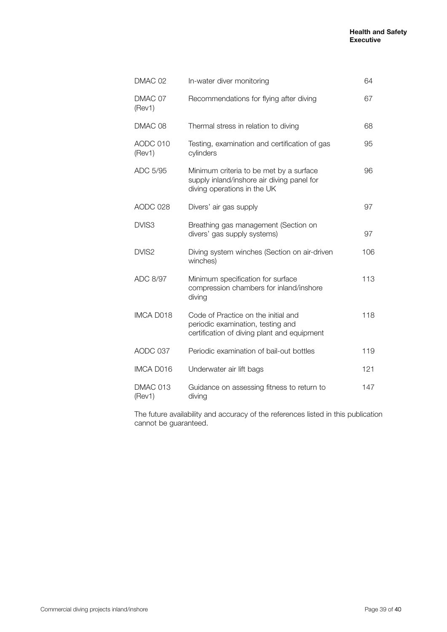| DMAC 02            | In-water diver monitoring                                                                                               | 64  |
|--------------------|-------------------------------------------------------------------------------------------------------------------------|-----|
| DMAC 07<br>(Rev1)  | Recommendations for flying after diving                                                                                 | 67  |
| DMAC 08            | Thermal stress in relation to diving                                                                                    | 68  |
| AODC 010<br>(Rev1) | Testing, examination and certification of gas<br>cylinders                                                              | 95  |
| ADC 5/95           | Minimum criteria to be met by a surface<br>supply inland/inshore air diving panel for<br>diving operations in the UK    | 96  |
| AODC 028           | Divers' air gas supply                                                                                                  | 97  |
| DVIS3              | Breathing gas management (Section on<br>divers' gas supply systems)                                                     | 97  |
| DVIS2              | Diving system winches (Section on air-driven<br>winches)                                                                | 106 |
| ADC 8/97           | Minimum specification for surface<br>compression chambers for inland/inshore<br>diving                                  | 113 |
| IMCA D018          | Code of Practice on the initial and<br>periodic examination, testing and<br>certification of diving plant and equipment | 118 |
| AODC 037           | Periodic examination of bail-out bottles                                                                                | 119 |
| <b>IMCA D016</b>   | Underwater air lift bags                                                                                                | 121 |
| DMAC 013<br>(Rev1) | Guidance on assessing fitness to return to<br>diving                                                                    | 147 |

The future availability and accuracy of the references listed in this publication cannot be guaranteed.